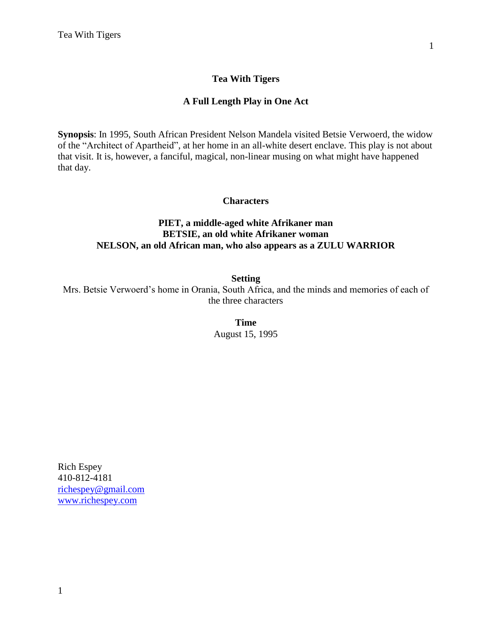# **Tea With Tigers**

#### **A Full Length Play in One Act**

**Synopsis**: In 1995, South African President Nelson Mandela visited Betsie Verwoerd, the widow of the "Architect of Apartheid", at her home in an all-white desert enclave. This play is not about that visit. It is, however, a fanciful, magical, non-linear musing on what might have happened that day.

#### **Characters**

# **PIET, a middle-aged white Afrikaner man BETSIE, an old white Afrikaner woman NELSON, an old African man, who also appears as a ZULU WARRIOR**

**Setting**

Mrs. Betsie Verwoerd's home in Orania, South Africa, and the minds and memories of each of the three characters

> **Time** August 15, 1995

Rich Espey 410-812-4181 [richespey@gmail.com](mailto:richespey@gmail.com) [www.richespey.com](http://www.richespey.com/)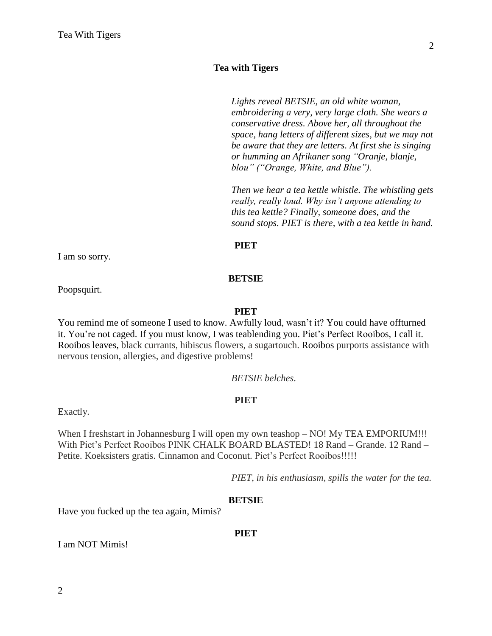# **Tea with Tigers**

*Lights reveal BETSIE, an old white woman, embroidering a very, very large cloth. She wears a conservative dress. Above her, all throughout the space, hang letters of different sizes, but we may not be aware that they are letters. At first she is singing or humming an Afrikaner song "Oranje, blanje, blou" ("Orange, White, and Blue").*

*Then we hear a tea kettle whistle. The whistling gets really, really loud. Why isn't anyone attending to this tea kettle? Finally, someone does, and the sound stops. PIET is there, with a tea kettle in hand.*

#### **PIET**

I am so sorry.

#### **BETSIE**

Poopsquirt.

#### **PIET**

You remind me of someone I used to know. Awfully loud, wasn't it? You could have offturned it. You're not caged. If you must know, I was teablending you. Piet's Perfect Rooibos, I call it. Rooibos leaves, black currants, hibiscus flowers, a sugartouch. Rooibos purports assistance with nervous tension, allergies, and digestive problems!

#### *BETSIE belches.*

#### **PIET**

Exactly.

When I freshstart in Johannesburg I will open my own teashop – NO! My TEA EMPORIUM!!! With Piet's Perfect Rooibos PINK CHALK BOARD BLASTED! 18 Rand – Grande. 12 Rand – Petite. Koeksisters gratis. Cinnamon and Coconut. Piet's Perfect Rooibos!!!!!

*PIET, in his enthusiasm, spills the water for the tea.*

#### **BETSIE**

Have you fucked up the tea again, Mimis?

#### **PIET**

I am NOT Mimis!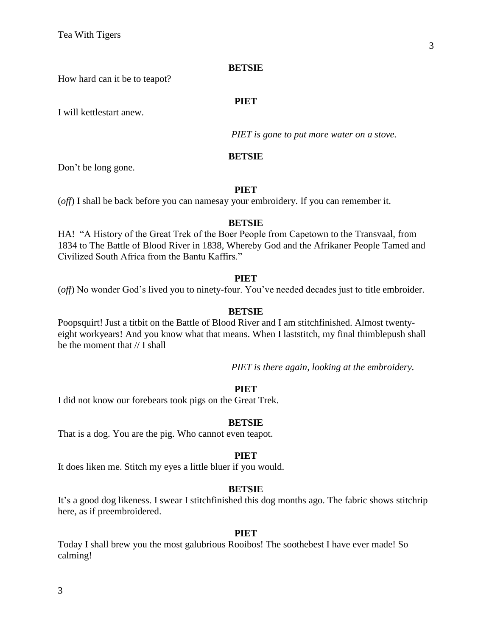**PIET**

How hard can it be to teapot?

I will kettlestart anew.

*PIET is gone to put more water on a stove.*

#### **BETSIE**

Don't be long gone.

#### **PIET**

(*off*) I shall be back before you can namesay your embroidery. If you can remember it.

#### **BETSIE**

HA! "A History of the Great Trek of the Boer People from Capetown to the Transvaal, from 1834 to The Battle of Blood River in 1838, Whereby God and the Afrikaner People Tamed and Civilized South Africa from the Bantu Kaffirs."

#### **PIET**

(*off*) No wonder God's lived you to ninety-four. You've needed decades just to title embroider.

#### **BETSIE**

Poopsquirt! Just a titbit on the Battle of Blood River and I am stitchfinished. Almost twentyeight workyears! And you know what that means. When I laststitch, my final thimblepush shall be the moment that  $//$  I shall

*PIET is there again, looking at the embroidery.*

#### **PIET**

I did not know our forebears took pigs on the Great Trek.

#### **BETSIE**

That is a dog. You are the pig. Who cannot even teapot.

#### **PIET**

It does liken me. Stitch my eyes a little bluer if you would.

#### **BETSIE**

It's a good dog likeness. I swear I stitchfinished this dog months ago. The fabric shows stitchrip here, as if preembroidered.

#### **PIET**

Today I shall brew you the most galubrious Rooibos! The soothebest I have ever made! So calming!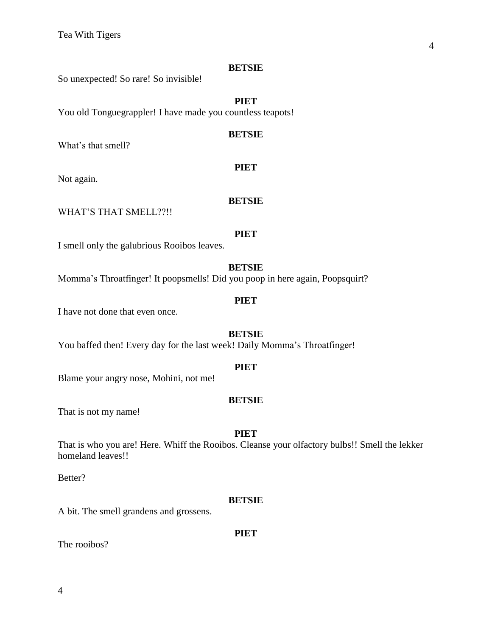So unexpected! So rare! So invisible!

#### **PIET**

You old Tonguegrappler! I have made you countless teapots!

#### **BETSIE**

**PIET**

**BETSIE**

What's that smell?

Not again.

WHAT'S THAT SMELL??!!

#### **PIET**

I smell only the galubrious Rooibos leaves.

#### **BETSIE**

Momma's Throatfinger! It poopsmells! Did you poop in here again, Poopsquirt?

#### **PIET**

I have not done that even once.

# **BETSIE**

You baffed then! Every day for the last week! Daily Momma's Throatfinger!

#### **PIET**

Blame your angry nose, Mohini, not me!

#### **BETSIE**

That is not my name!

#### **PIET**

That is who you are! Here. Whiff the Rooibos. Cleanse your olfactory bulbs!! Smell the lekker homeland leaves!!

Better?

#### **BETSIE**

**PIET**

A bit. The smell grandens and grossens.

The rooibos?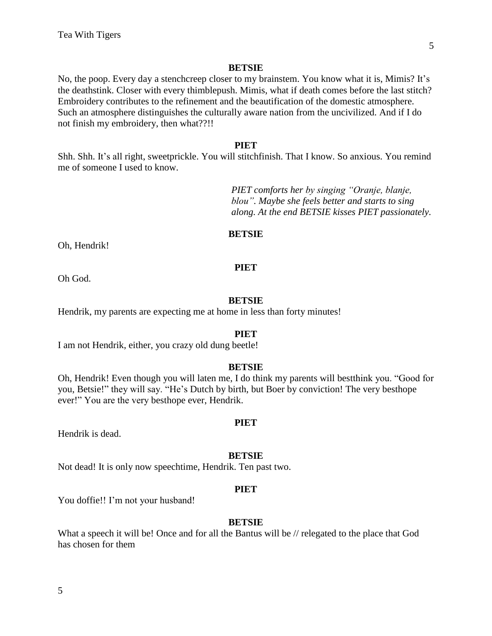No, the poop. Every day a stenchcreep closer to my brainstem. You know what it is, Mimis? It's the deathstink. Closer with every thimblepush. Mimis, what if death comes before the last stitch? Embroidery contributes to the refinement and the beautification of the domestic atmosphere. Such an atmosphere distinguishes the culturally aware nation from the uncivilized. And if I do not finish my embroidery, then what??!!

#### **PIET**

Shh. Shh. It's all right, sweetprickle. You will stitchfinish. That I know. So anxious. You remind me of someone I used to know.

> *PIET comforts her by singing "Oranje, blanje, blou". Maybe she feels better and starts to sing along. At the end BETSIE kisses PIET passionately.*

#### **BETSIE**

Oh, Hendrik!

#### **PIET**

Oh God.

#### **BETSIE**

Hendrik, my parents are expecting me at home in less than forty minutes!

#### **PIET**

I am not Hendrik, either, you crazy old dung beetle!

#### **BETSIE**

Oh, Hendrik! Even though you will laten me, I do think my parents will bestthink you. "Good for you, Betsie!" they will say. "He's Dutch by birth, but Boer by conviction! The very besthope ever!" You are the very besthope ever, Hendrik.

#### **PIET**

Hendrik is dead.

#### **BETSIE**

Not dead! It is only now speechtime, Hendrik. Ten past two.

#### **PIET**

You doffie!! I'm not your husband!

#### **BETSIE**

What a speech it will be! Once and for all the Bantus will be // relegated to the place that God has chosen for them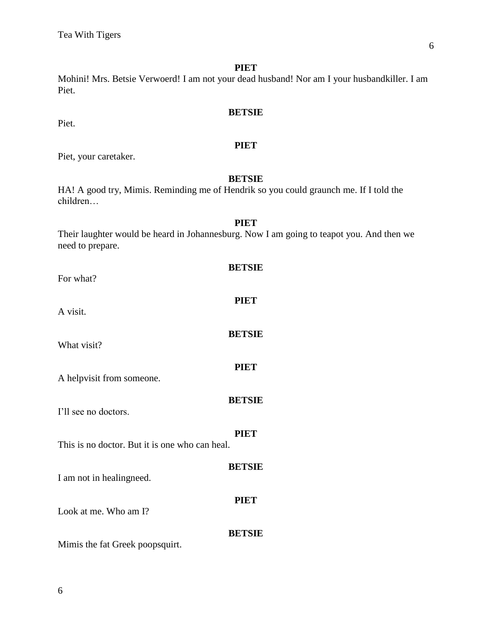Mohini! Mrs. Betsie Verwoerd! I am not your dead husband! Nor am I your husbandkiller. I am Piet.

# **BETSIE**

# **PIET**

Piet, your caretaker.

Piet.

# **BETSIE**

**PIET**

HA! A good try, Mimis. Reminding me of Hendrik so you could graunch me. If I told the children…

| РІЕТ                                                                                     |
|------------------------------------------------------------------------------------------|
| Their laughter would be heard in Johannesburg. Now I am going to teapot you. And then we |
| need to prepare.                                                                         |

| For what?                                      | <b>BETSIE</b> |
|------------------------------------------------|---------------|
| A visit.                                       | <b>PIET</b>   |
| What visit?                                    | <b>BETSIE</b> |
| A helpvisit from someone.                      | <b>PIET</b>   |
| I'll see no doctors.                           | <b>BETSIE</b> |
| This is no doctor. But it is one who can heal. | <b>PIET</b>   |
| I am not in healing need.                      | <b>BETSIE</b> |
| Look at me. Who am I?                          | <b>PIET</b>   |
|                                                | <b>BETSIE</b> |
| Mimis the fat Greek poopsquirt.                |               |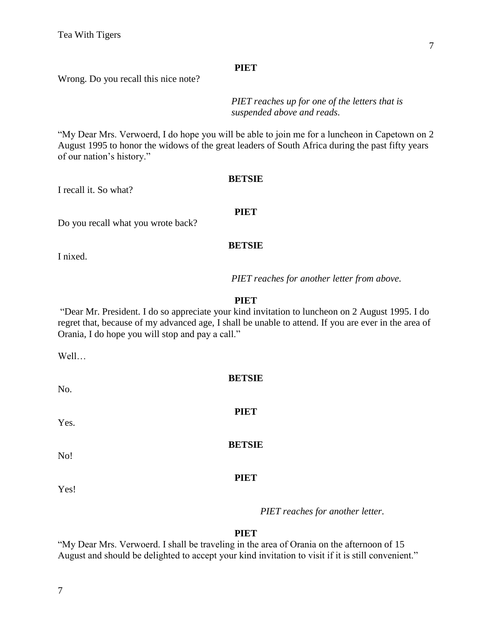Wrong. Do you recall this nice note?

*PIET reaches up for one of the letters that is suspended above and reads.*

"My Dear Mrs. Verwoerd, I do hope you will be able to join me for a luncheon in Capetown on 2 August 1995 to honor the widows of the great leaders of South Africa during the past fifty years of our nation's history."

#### **BETSIE**

I recall it. So what?

# **PIET**

Do you recall what you wrote back?

#### **BETSIE**

I nixed.

*PIET reaches for another letter from above.*

#### **PIET**

"Dear Mr. President. I do so appreciate your kind invitation to luncheon on 2 August 1995. I do regret that, because of my advanced age, I shall be unable to attend. If you are ever in the area of Orania, I do hope you will stop and pay a call."

**BETSIE**

**PIET**

**BETSIE**

**PIET**

Well…

No.

Yes.

No!

Yes!

*PIET reaches for another letter.*

#### **PIET**

"My Dear Mrs. Verwoerd. I shall be traveling in the area of Orania on the afternoon of 15 August and should be delighted to accept your kind invitation to visit if it is still convenient."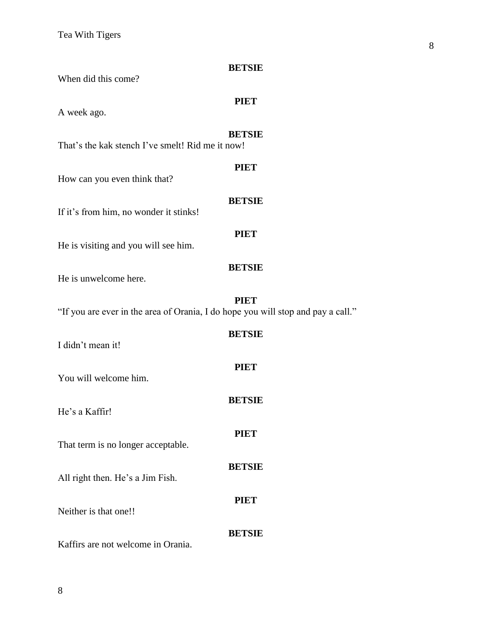| When did this come?                                                              | <b>BETSIE</b> |
|----------------------------------------------------------------------------------|---------------|
| A week ago.                                                                      | <b>PIET</b>   |
| That's the kak stench I've smelt! Rid me it now!                                 | <b>BETSIE</b> |
| How can you even think that?                                                     | <b>PIET</b>   |
| If it's from him, no wonder it stinks!                                           | <b>BETSIE</b> |
| He is visiting and you will see him.                                             | <b>PIET</b>   |
| He is unwelcome here.                                                            | <b>BETSIE</b> |
| "If you are ever in the area of Orania, I do hope you will stop and pay a call." | <b>PIET</b>   |
| I didn't mean it!                                                                | <b>BETSIE</b> |
| You will welcome him.                                                            | <b>PIET</b>   |
| He's a Kaffir!                                                                   | <b>BETSIE</b> |
| That term is no longer acceptable.                                               | <b>PIET</b>   |
|                                                                                  | <b>BETSIE</b> |
| All right then. He's a Jim Fish.                                                 | <b>PIET</b>   |
| Neither is that one!!                                                            | <b>BETSIE</b> |

Kaffirs are not welcome in Orania.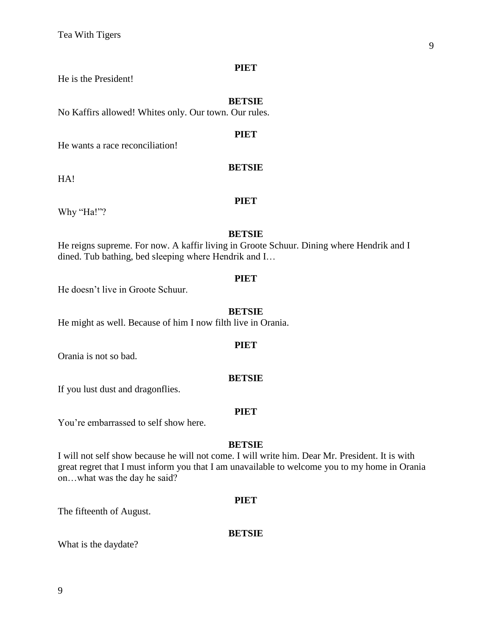He is the President!

#### **BETSIE**

**PIET**

No Kaffirs allowed! Whites only. Our town. Our rules.

He wants a race reconciliation!

HA!

# **PIET**

**BETSIE**

Why "Ha!"?

#### **BETSIE**

He reigns supreme. For now. A kaffir living in Groote Schuur. Dining where Hendrik and I dined. Tub bathing, bed sleeping where Hendrik and I…

#### **PIET**

He doesn't live in Groote Schuur.

#### **BETSIE**

He might as well. Because of him I now filth live in Orania.

#### **PIET**

Orania is not so bad.

#### **BETSIE**

If you lust dust and dragonflies.

# **PIET**

You're embarrassed to self show here.

# **BETSIE**

I will not self show because he will not come. I will write him. Dear Mr. President. It is with great regret that I must inform you that I am unavailable to welcome you to my home in Orania on…what was the day he said?

#### **PIET**

The fifteenth of August.

#### **BETSIE**

What is the daydate?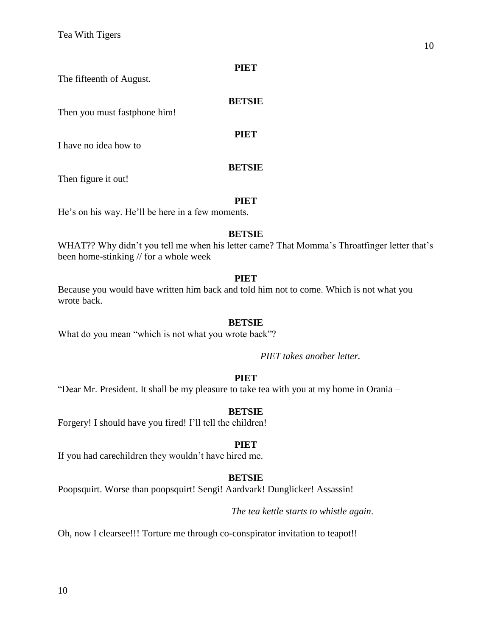The fifteenth of August.

#### **BETSIE**

Then you must fastphone him!

**PIET**

I have no idea how to –

#### **BETSIE**

Then figure it out!

#### **PIET**

He's on his way. He'll be here in a few moments.

#### **BETSIE**

WHAT?? Why didn't you tell me when his letter came? That Momma's Throatfinger letter that's been home-stinking // for a whole week

# **PIET**

Because you would have written him back and told him not to come. Which is not what you wrote back.

# **BETSIE**

What do you mean "which is not what you wrote back"?

*PIET takes another letter.*

# **PIET**

"Dear Mr. President. It shall be my pleasure to take tea with you at my home in Orania –

# **BETSIE**

Forgery! I should have you fired! I'll tell the children!

#### **PIET**

If you had carechildren they wouldn't have hired me.

# **BETSIE**

Poopsquirt. Worse than poopsquirt! Sengi! Aardvark! Dunglicker! Assassin!

*The tea kettle starts to whistle again.*

Oh, now I clearsee!!! Torture me through co-conspirator invitation to teapot!!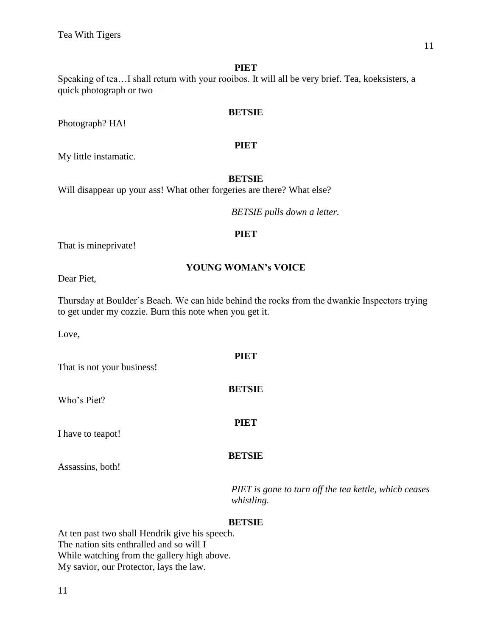Speaking of tea…I shall return with your rooibos. It will all be very brief. Tea, koeksisters, a quick photograph or two –

# **BETSIE**

# **PIET**

My little instamatic.

Photograph? HA!

#### **BETSIE**

Will disappear up your ass! What other forgeries are there? What else?

*BETSIE pulls down a letter.*

# **PIET**

That is mineprivate!

# **YOUNG WOMAN's VOICE**

Dear Piet,

Thursday at Boulder's Beach. We can hide behind the rocks from the dwankie Inspectors trying to get under my cozzie. Burn this note when you get it.

**PIET**

**BETSIE**

Love,

That is not your business!

Who's Piet?

I have to teapot!

**BETSIE**

**PIET**

Assassins, both!

*PIET is gone to turn off the tea kettle, which ceases whistling.*

# **BETSIE**

At ten past two shall Hendrik give his speech. The nation sits enthralled and so will I While watching from the gallery high above. My savior, our Protector, lays the law.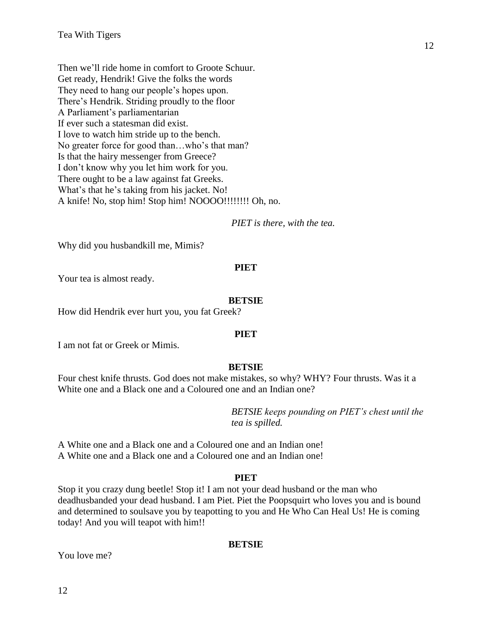Then we'll ride home in comfort to Groote Schuur. Get ready, Hendrik! Give the folks the words They need to hang our people's hopes upon. There's Hendrik. Striding proudly to the floor A Parliament's parliamentarian If ever such a statesman did exist. I love to watch him stride up to the bench. No greater force for good than…who's that man? Is that the hairy messenger from Greece? I don't know why you let him work for you. There ought to be a law against fat Greeks. What's that he's taking from his jacket. No! A knife! No, stop him! Stop him! NOOOO!!!!!!!! Oh, no.

*PIET is there, with the tea.*

Why did you husbandkill me, Mimis?

#### **PIET**

Your tea is almost ready.

#### **BETSIE**

How did Hendrik ever hurt you, you fat Greek?

#### **PIET**

I am not fat or Greek or Mimis.

# **BETSIE**

Four chest knife thrusts. God does not make mistakes, so why? WHY? Four thrusts. Was it a White one and a Black one and a Coloured one and an Indian one?

> *BETSIE keeps pounding on PIET's chest until the tea is spilled.*

A White one and a Black one and a Coloured one and an Indian one! A White one and a Black one and a Coloured one and an Indian one!

# **PIET**

Stop it you crazy dung beetle! Stop it! I am not your dead husband or the man who deadhusbanded your dead husband. I am Piet. Piet the Poopsquirt who loves you and is bound and determined to soulsave you by teapotting to you and He Who Can Heal Us! He is coming today! And you will teapot with him!!

# **BETSIE**

You love me?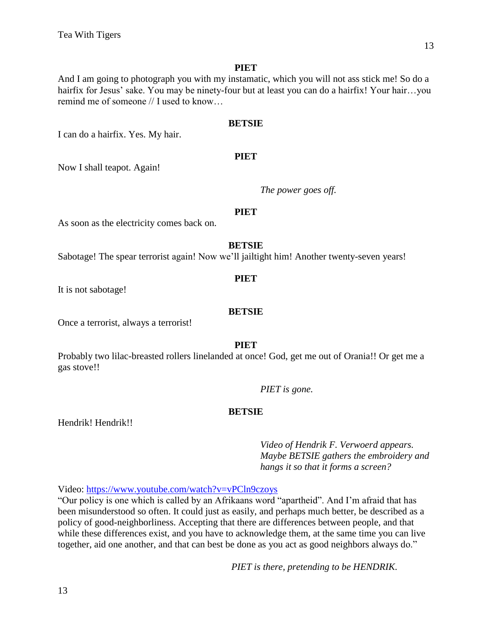And I am going to photograph you with my instamatic, which you will not ass stick me! So do a hairfix for Jesus' sake. You may be ninety-four but at least you can do a hairfix! Your hair...you remind me of someone // I used to know…

#### **BETSIE**

**PIET**

I can do a hairfix. Yes. My hair.

Now I shall teapot. Again!

*The power goes off.*

# **PIET**

As soon as the electricity comes back on.

#### **BETSIE**

Sabotage! The spear terrorist again! Now we'll jailtight him! Another twenty-seven years!

#### **PIET**

It is not sabotage!

# **BETSIE**

Once a terrorist, always a terrorist!

#### **PIET**

Probably two lilac-breasted rollers linelanded at once! God, get me out of Orania!! Or get me a gas stove!!

*PIET is gone.* 

# **BETSIE**

Hendrik! Hendrik!!

*Video of Hendrik F. Verwoerd appears. Maybe BETSIE gathers the embroidery and hangs it so that it forms a screen?*

Video:<https://www.youtube.com/watch?v=vPCln9czoys>

"Our policy is one which is called by an Afrikaans word "apartheid". And I'm afraid that has been misunderstood so often. It could just as easily, and perhaps much better, be described as a policy of good-neighborliness. Accepting that there are differences between people, and that while these differences exist, and you have to acknowledge them, at the same time you can live together, aid one another, and that can best be done as you act as good neighbors always do."

*PIET is there, pretending to be HENDRIK.*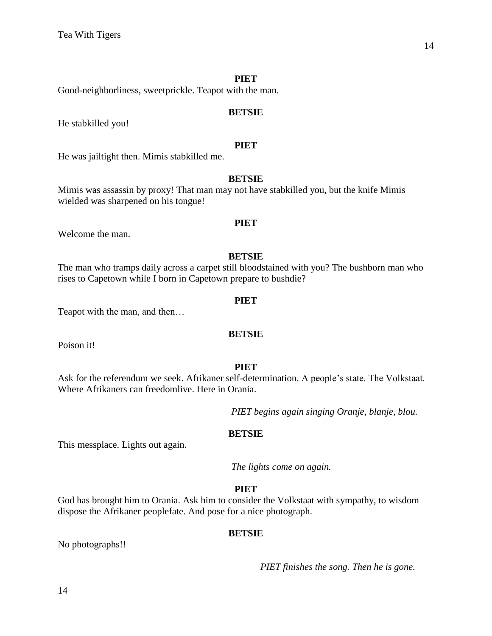Good-neighborliness, sweetprickle. Teapot with the man.

#### **BETSIE**

He stabkilled you!

# **PIET**

He was jailtight then. Mimis stabkilled me.

#### **BETSIE**

Mimis was assassin by proxy! That man may not have stabkilled you, but the knife Mimis wielded was sharpened on his tongue!

Welcome the man.

#### **BETSIE**

**PIET**

The man who tramps daily across a carpet still bloodstained with you? The bushborn man who rises to Capetown while I born in Capetown prepare to bushdie?

#### **PIET**

Teapot with the man, and then…

**BETSIE**

Poison it!

#### **PIET**

Ask for the referendum we seek. Afrikaner self-determination. A people's state. The Volkstaat. Where Afrikaners can freedomlive. Here in Orania.

*PIET begins again singing Oranje, blanje, blou.*

#### **BETSIE**

This messplace. Lights out again.

*The lights come on again.*

#### **PIET**

God has brought him to Orania. Ask him to consider the Volkstaat with sympathy, to wisdom dispose the Afrikaner peoplefate. And pose for a nice photograph.

#### **BETSIE**

No photographs!!

*PIET finishes the song. Then he is gone.*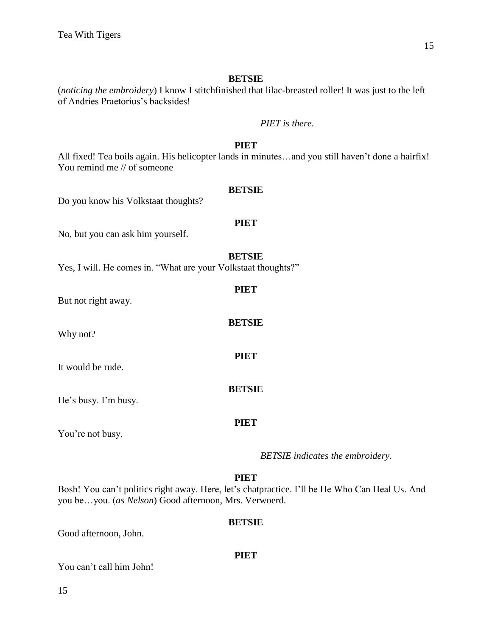(*noticing the embroidery*) I know I stitchfinished that lilac-breasted roller! It was just to the left of Andries Praetorius's backsides!

# *PIET is there.*

# **PIET**

All fixed! Tea boils again. His helicopter lands in minutes…and you still haven't done a hairfix! You remind me // of someone

#### **BETSIE**

Do you know his Volkstaat thoughts?

#### **PIET**

No, but you can ask him yourself.

#### **BETSIE**

**PIET**

**BETSIE**

**PIET**

**BETSIE**

**PIET**

Yes, I will. He comes in. "What are your Volkstaat thoughts?"

But not right away.

Why not?

It would be rude.

He's busy. I'm busy.

You're not busy.

#### *BETSIE indicates the embroidery.*

# **PIET**

Bosh! You can't politics right away. Here, let's chatpractice. I'll be He Who Can Heal Us. And you be…you. (*as Nelson*) Good afternoon, Mrs. Verwoerd.

#### **BETSIE**

**PIET**

Good afternoon, John.

You can't call him John!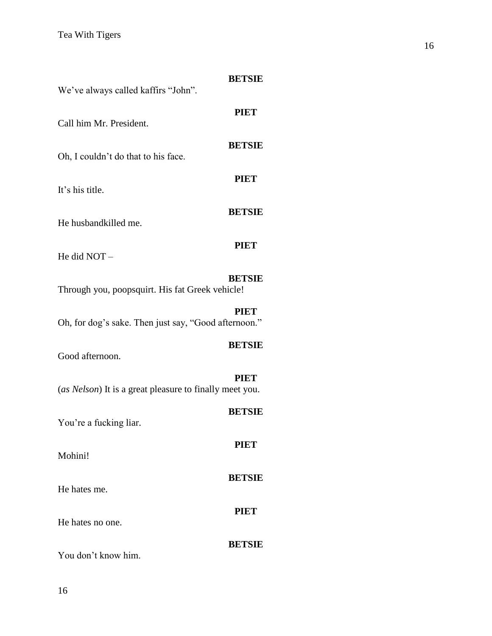| We've always called kaffirs "John".                     | <b>BETSIE</b> |
|---------------------------------------------------------|---------------|
| Call him Mr. President.                                 | <b>PIET</b>   |
| Oh, I couldn't do that to his face.                     | <b>BETSIE</b> |
| It's his title.                                         | <b>PIET</b>   |
| He husbandkilled me.                                    | <b>BETSIE</b> |
| He did NOT -                                            | <b>PIET</b>   |
| Through you, poopsquirt. His fat Greek vehicle!         | <b>BETSIE</b> |
| Oh, for dog's sake. Then just say, "Good afternoon."    | <b>PIET</b>   |
| Good afternoon.                                         | <b>BETSIE</b> |
| (as Nelson) It is a great pleasure to finally meet you. | PIET          |
| You're a fucking liar.                                  | <b>BETSIE</b> |
| Mohini!                                                 | PIET          |
| He hates me.                                            | <b>BETSIE</b> |
| He hates no one.                                        | <b>PIET</b>   |
| You don't know him.                                     | <b>BETSIE</b> |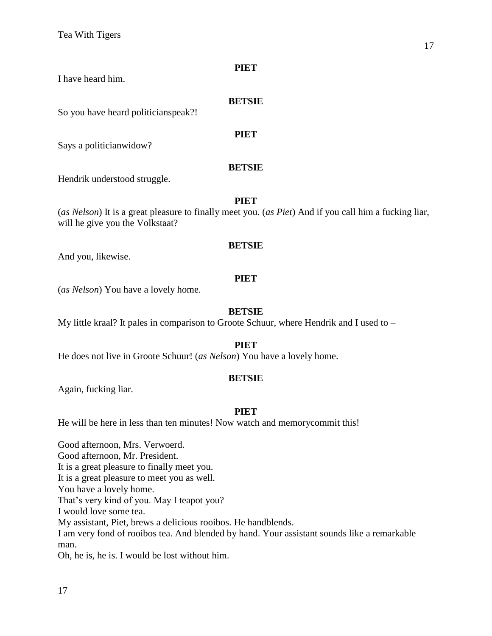I have heard him.

#### **BETSIE**

**PIET**

So you have heard politicianspeak?!

Says a politicianwidow?

# **BETSIE**

Hendrik understood struggle.

# **PIET**

(*as Nelson*) It is a great pleasure to finally meet you. (*as Piet*) And if you call him a fucking liar, will he give you the Volkstaat?

# **BETSIE**

And you, likewise.

# **PIET**

(*as Nelson*) You have a lovely home.

# **BETSIE**

My little kraal? It pales in comparison to Groote Schuur, where Hendrik and I used to –

# **PIET**

He does not live in Groote Schuur! (*as Nelson*) You have a lovely home.

# **BETSIE**

Again, fucking liar.

# **PIET**

He will be here in less than ten minutes! Now watch and memorycommit this!

Good afternoon, Mrs. Verwoerd. Good afternoon, Mr. President. It is a great pleasure to finally meet you. It is a great pleasure to meet you as well. You have a lovely home. That's very kind of you. May I teapot you? I would love some tea. My assistant, Piet, brews a delicious rooibos. He handblends. I am very fond of rooibos tea. And blended by hand. Your assistant sounds like a remarkable man. Oh, he is, he is. I would be lost without him.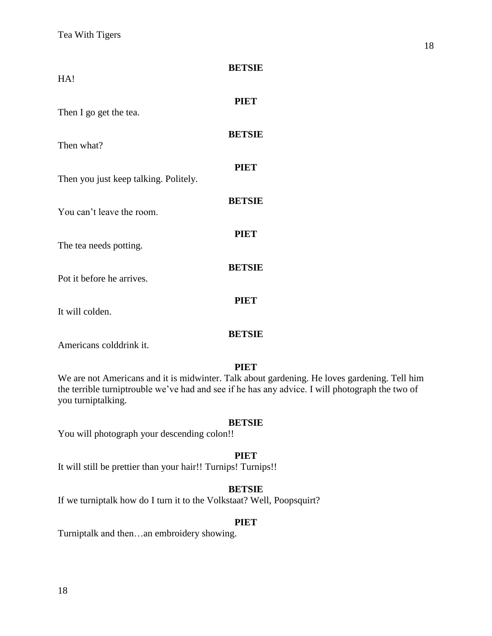| HA!                                   | <b>BETSIE</b> |
|---------------------------------------|---------------|
| Then I go get the tea.                | <b>PIET</b>   |
| Then what?                            | <b>BETSIE</b> |
| Then you just keep talking. Politely. | <b>PIET</b>   |
| You can't leave the room.             | <b>BETSIE</b> |
| The tea needs potting.                | <b>PIET</b>   |
| Pot it before he arrives.             | <b>BETSIE</b> |
| It will colden.                       | PIET          |
|                                       | BETSIE        |

Americans colddrink it.

#### **PIET**

We are not Americans and it is midwinter. Talk about gardening. He loves gardening. Tell him the terrible turniptrouble we've had and see if he has any advice. I will photograph the two of you turniptalking.

#### **BETSIE**

You will photograph your descending colon!!

#### **PIET**

It will still be prettier than your hair!! Turnips! Turnips!!

# **BETSIE**

If we turniptalk how do I turn it to the Volkstaat? Well, Poopsquirt?

# **PIET**

Turniptalk and then…an embroidery showing.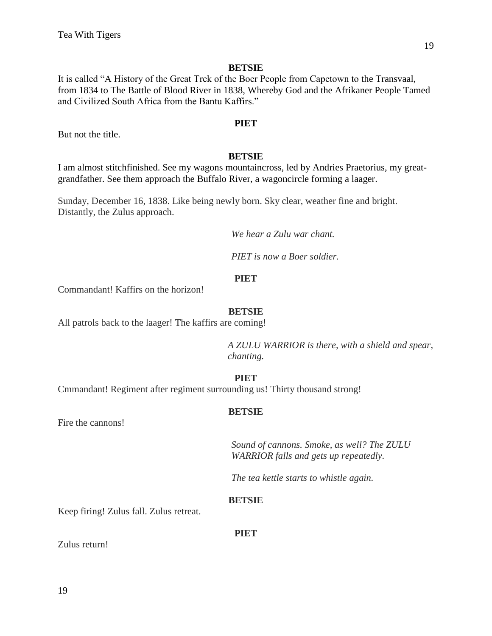It is called "A History of the Great Trek of the Boer People from Capetown to the Transvaal, from 1834 to The Battle of Blood River in 1838, Whereby God and the Afrikaner People Tamed and Civilized South Africa from the Bantu Kaffirs."

#### **PIET**

But not the title.

# **BETSIE**

I am almost stitchfinished. See my wagons mountaincross, led by Andries Praetorius, my greatgrandfather. See them approach the Buffalo River, a wagoncircle forming a laager.

Sunday, December 16, 1838. Like being newly born. Sky clear, weather fine and bright. Distantly, the Zulus approach.

*We hear a Zulu war chant.* 

*PIET is now a Boer soldier.*

#### **PIET**

Commandant! Kaffirs on the horizon!

#### **BETSIE**

All patrols back to the laager! The kaffirs are coming!

*A ZULU WARRIOR is there, with a shield and spear, chanting.* 

#### **PIET**

Cmmandant! Regiment after regiment surrounding us! Thirty thousand strong!

# **BETSIE**

Fire the cannons!

*Sound of cannons. Smoke, as well? The ZULU WARRIOR falls and gets up repeatedly.*

*The tea kettle starts to whistle again.*

#### **BETSIE**

Keep firing! Zulus fall. Zulus retreat.

**PIET**

Zulus return!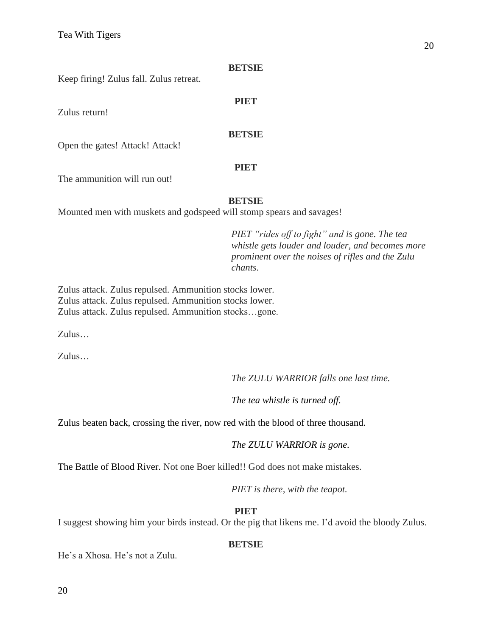Keep firing! Zulus fall. Zulus retreat.

Zulus return!

# **PIET**

# **BETSIE**

Open the gates! Attack! Attack!

# **PIET**

The ammunition will run out!

# **BETSIE**

Mounted men with muskets and godspeed will stomp spears and savages!

*PIET "rides off to fight" and is gone. The tea whistle gets louder and louder, and becomes more prominent over the noises of rifles and the Zulu chants.*

Zulus attack. Zulus repulsed. Ammunition stocks lower. Zulus attack. Zulus repulsed. Ammunition stocks lower. Zulus attack. Zulus repulsed. Ammunition stocks…gone.

Zulus…

Zulus…

*The ZULU WARRIOR falls one last time.*

*The tea whistle is turned off.*

Zulus beaten back, crossing the river, now red with the blood of three thousand.

*The ZULU WARRIOR is gone.*

The Battle of Blood River. Not one Boer killed!! God does not make mistakes.

*PIET is there, with the teapot.*

# **PIET**

I suggest showing him your birds instead. Or the pig that likens me. I'd avoid the bloody Zulus.

# **BETSIE**

He's a Xhosa. He's not a Zulu.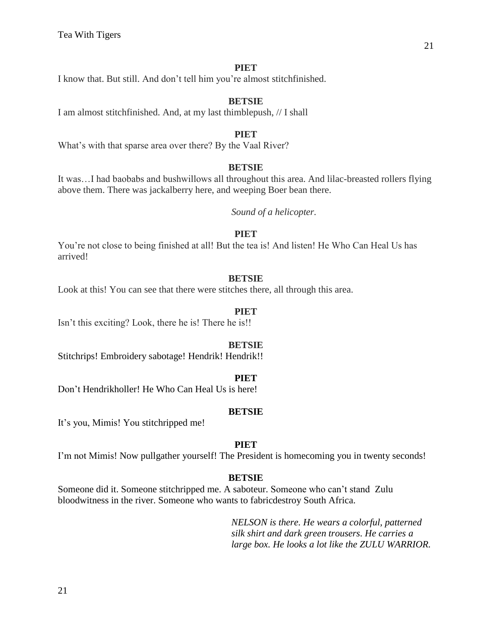I know that. But still. And don't tell him you're almost stitchfinished.

#### **BETSIE**

I am almost stitchfinished. And, at my last thimblepush, // I shall

# **PIET**

What's with that sparse area over there? By the Vaal River?

#### **BETSIE**

It was…I had baobabs and bushwillows all throughout this area. And lilac-breasted rollers flying above them. There was jackalberry here, and weeping Boer bean there.

*Sound of a helicopter.*

#### **PIET**

You're not close to being finished at all! But the tea is! And listen! He Who Can Heal Us has arrived!

#### **BETSIE**

Look at this! You can see that there were stitches there, all through this area.

#### **PIET**

Isn't this exciting? Look, there he is! There he is!!

#### **BETSIE**

Stitchrips! Embroidery sabotage! Hendrik! Hendrik!!

#### **PIET**

Don't Hendrikholler! He Who Can Heal Us is here!

#### **BETSIE**

It's you, Mimis! You stitchripped me!

#### **PIET**

I'm not Mimis! Now pullgather yourself! The President is homecoming you in twenty seconds!

# **BETSIE**

Someone did it. Someone stitchripped me. A saboteur. Someone who can't stand Zulu bloodwitness in the river. Someone who wants to fabricdestroy South Africa.

> *NELSON is there. He wears a colorful, patterned silk shirt and dark green trousers. He carries a large box. He looks a lot like the ZULU WARRIOR.*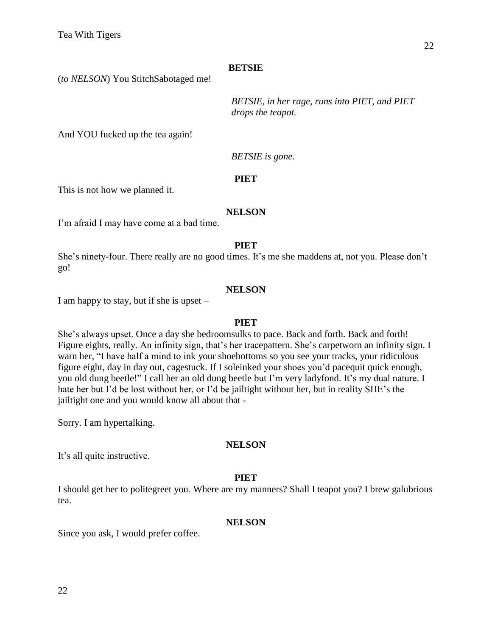(*to NELSON*) You StitchSabotaged me!

*BETSIE, in her rage, runs into PIET, and PIET drops the teapot.*

And YOU fucked up the tea again!

*BETSIE is gone.* 

# **PIET**

This is not how we planned it.

#### **NELSON**

I'm afraid I may have come at a bad time.

#### **PIET**

She's ninety-four. There really are no good times. It's me she maddens at, not you. Please don't go!

# **NELSON**

I am happy to stay, but if she is upset –

#### **PIET**

She's always upset. Once a day she bedroomsulks to pace. Back and forth. Back and forth! Figure eights, really. An infinity sign, that's her tracepattern. She's carpetworn an infinity sign. I warn her, "I have half a mind to ink your shoebottoms so you see your tracks, your ridiculous figure eight, day in day out, cagestuck. If I soleinked your shoes you'd pacequit quick enough, you old dung beetle!" I call her an old dung beetle but I'm very ladyfond. It's my dual nature. I hate her but I'd be lost without her, or I'd be jailtight without her, but in reality SHE's the jailtight one and you would know all about that -

Sorry. I am hypertalking.

#### **NELSON**

It's all quite instructive.

# **PIET**

I should get her to politegreet you. Where are my manners? Shall I teapot you? I brew galubrious tea.

#### **NELSON**

Since you ask, I would prefer coffee.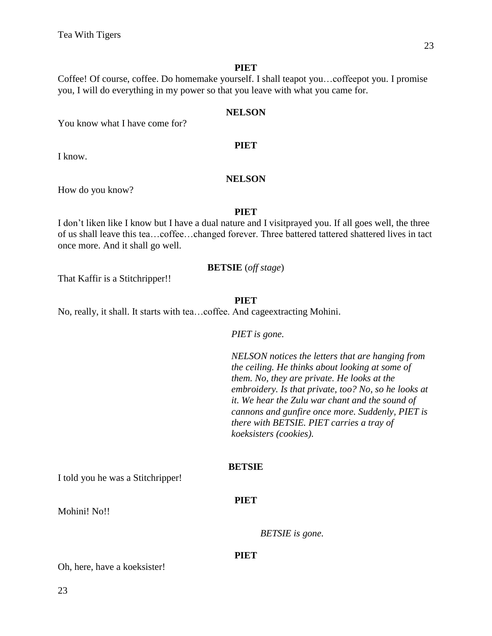Coffee! Of course, coffee. Do homemake yourself. I shall teapot you…coffeepot you. I promise you, I will do everything in my power so that you leave with what you came for.

#### **NELSON**

You know what I have come for?

I know.

#### **NELSON**

**PIET**

How do you know?

#### **PIET**

I don't liken like I know but I have a dual nature and I visitprayed you. If all goes well, the three of us shall leave this tea…coffee…changed forever. Three battered tattered shattered lives in tact once more. And it shall go well.

# **BETSIE** (*off stage*)

That Kaffir is a Stitchripper!!

#### **PIET**

No, really, it shall. It starts with tea…coffee. And cageextracting Mohini.

*PIET is gone.*

*NELSON notices the letters that are hanging from the ceiling. He thinks about looking at some of them. No, they are private. He looks at the embroidery. Is that private, too? No, so he looks at it. We hear the Zulu war chant and the sound of cannons and gunfire once more. Suddenly, PIET is there with BETSIE. PIET carries a tray of koeksisters (cookies).*

# **BETSIE**

**PIET**

I told you he was a Stitchripper!

Mohini! No!!

*BETSIE is gone.* 

#### **PIET**

Oh, here, have a koeksister!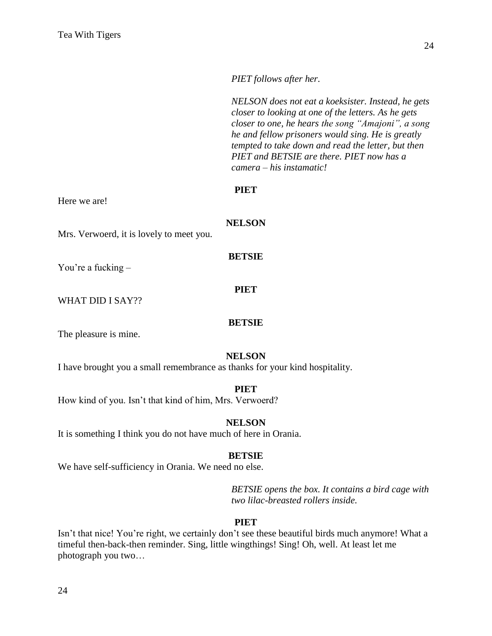*PIET follows after her.*

*NELSON does not eat a koeksister. Instead, he gets closer to looking at one of the letters. As he gets closer to one, he hears the song "Amajoni", a song he and fellow prisoners would sing. He is greatly tempted to take down and read the letter, but then PIET and BETSIE are there. PIET now has a camera – his instamatic!*

#### **PIET**

Here we are!

**NELSON**

**BETSIE**

Mrs. Verwoerd, it is lovely to meet you.

You're a fucking –

WHAT DID I SAY??

#### **BETSIE**

**PIET**

The pleasure is mine.

#### **NELSON**

I have brought you a small remembrance as thanks for your kind hospitality.

#### **PIET**

How kind of you. Isn't that kind of him, Mrs. Verwoerd?

#### **NELSON**

It is something I think you do not have much of here in Orania.

#### **BETSIE**

We have self-sufficiency in Orania. We need no else.

*BETSIE opens the box. It contains a bird cage with two lilac-breasted rollers inside.* 

#### **PIET**

Isn't that nice! You're right, we certainly don't see these beautiful birds much anymore! What a timeful then-back-then reminder. Sing, little wingthings! Sing! Oh, well. At least let me photograph you two…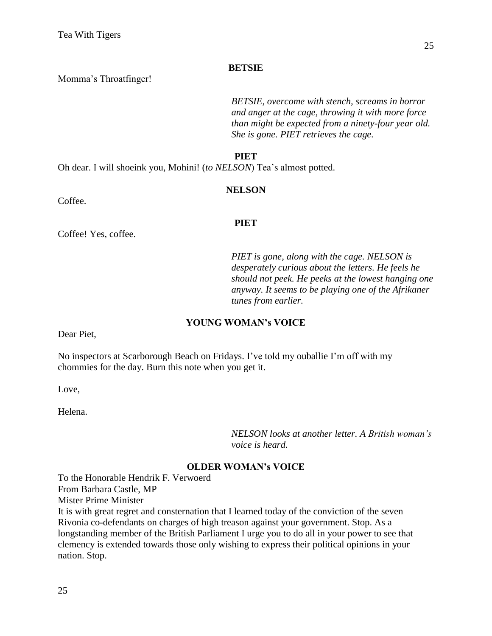Momma's Throatfinger!

*BETSIE, overcome with stench, screams in horror and anger at the cage, throwing it with more force than might be expected from a ninety-four year old. She is gone. PIET retrieves the cage.*

# **PIET**

Oh dear. I will shoeink you, Mohini! (*to NELSON*) Tea's almost potted.

# **NELSON**

Coffee.

# **PIET**

Coffee! Yes, coffee.

*PIET is gone, along with the cage. NELSON is desperately curious about the letters. He feels he should not peek. He peeks at the lowest hanging one anyway. It seems to be playing one of the Afrikaner tunes from earlier.* 

# **YOUNG WOMAN's VOICE**

Dear Piet,

No inspectors at Scarborough Beach on Fridays. I've told my ouballie I'm off with my chommies for the day. Burn this note when you get it.

Love,

Helena.

*NELSON looks at another letter. A British woman's voice is heard.*

# **OLDER WOMAN's VOICE**

To the Honorable Hendrik F. Verwoerd From Barbara Castle, MP Mister Prime Minister

It is with great regret and consternation that I learned today of the conviction of the seven Rivonia co-defendants on charges of high treason against your government. Stop. As a longstanding member of the British Parliament I urge you to do all in your power to see that clemency is extended towards those only wishing to express their political opinions in your nation. Stop.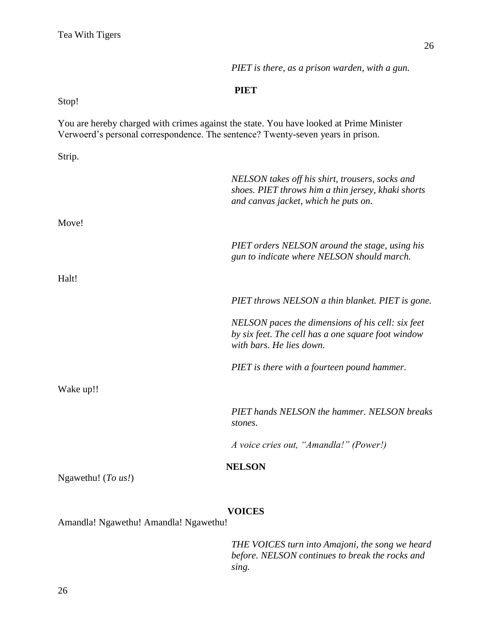*PIET is there, as a prison warden, with a gun.*

# **PIET**

Stop!

You are hereby charged with crimes against the state. You have looked at Prime Minister Verwoerd's personal correspondence. The sentence? Twenty-seven years in prison.

Strip.

|                         | NELSON takes off his shirt, trousers, socks and<br>shoes. PIET throws him a thin jersey, khaki shorts<br>and canvas jacket, which he puts on. |
|-------------------------|-----------------------------------------------------------------------------------------------------------------------------------------------|
| Move!                   |                                                                                                                                               |
|                         | PIET orders NELSON around the stage, using his<br>gun to indicate where NELSON should march.                                                  |
| Halt!                   |                                                                                                                                               |
|                         | PIET throws NELSON a thin blanket. PIET is gone.                                                                                              |
|                         | NELSON paces the dimensions of his cell: six feet<br>by six feet. The cell has a one square foot window<br>with bars. He lies down.           |
|                         | PIET is there with a fourteen pound hammer.                                                                                                   |
| Wake up!!               |                                                                                                                                               |
|                         | PIET hands NELSON the hammer. NELSON breaks<br>stones.                                                                                        |
|                         | A voice cries out, "Amandla!" (Power!)                                                                                                        |
| Ngawethu! $(To \; us!)$ | <b>NELSON</b>                                                                                                                                 |
|                         | <b>VOICES</b>                                                                                                                                 |

Amandla! Ngawethu! Amandla! Ngawethu!

*THE VOICES turn into Amajoni, the song we heard before. NELSON continues to break the rocks and sing.*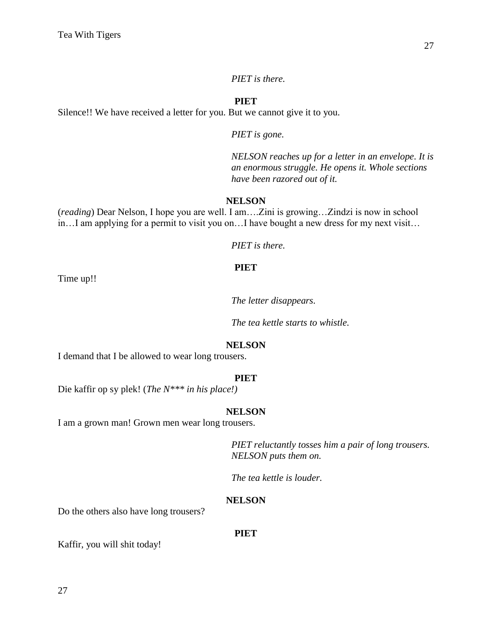*PIET is there.*

#### **PIET**

Silence!! We have received a letter for you. But we cannot give it to you.

*PIET is gone.*

*NELSON reaches up for a letter in an envelope. It is an enormous struggle. He opens it. Whole sections have been razored out of it.*

#### **NELSON**

(*reading*) Dear Nelson, I hope you are well. I am….Zini is growing…Zindzi is now in school in…I am applying for a permit to visit you on…I have bought a new dress for my next visit…

*PIET is there.*

# **PIET**

Time up!!

*The letter disappears.*

*The tea kettle starts to whistle.*

#### **NELSON**

I demand that I be allowed to wear long trousers.

#### **PIET**

Die kaffir op sy plek! (*The N\*\*\* in his place!)*

#### **NELSON**

I am a grown man! Grown men wear long trousers.

*PIET reluctantly tosses him a pair of long trousers. NELSON puts them on.*

*The tea kettle is louder.*

#### **NELSON**

Do the others also have long trousers?

**PIET**

Kaffir, you will shit today!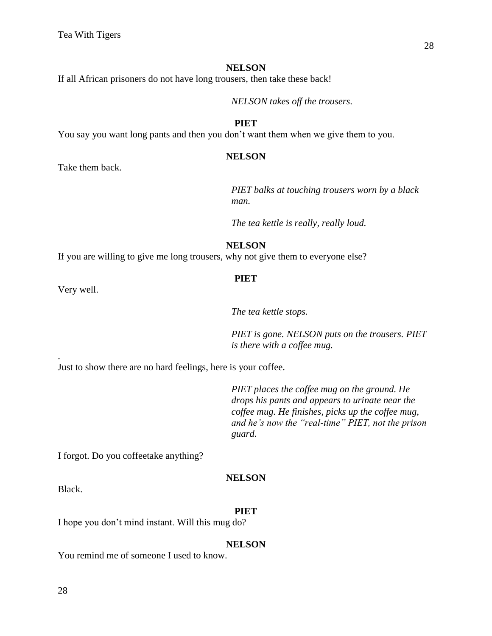If all African prisoners do not have long trousers, then take these back!

*NELSON takes off the trousers.*

#### **PIET**

You say you want long pants and then you don't want them when we give them to you.

#### **NELSON**

Take them back.

*PIET balks at touching trousers worn by a black man.*

*The tea kettle is really, really loud.*

**NELSON**

If you are willing to give me long trousers, why not give them to everyone else?

#### **PIET**

Very well.

.

*The tea kettle stops.*

*PIET is gone. NELSON puts on the trousers. PIET is there with a coffee mug.*

Just to show there are no hard feelings, here is your coffee.

*PIET places the coffee mug on the ground. He drops his pants and appears to urinate near the coffee mug. He finishes, picks up the coffee mug, and he's now the "real-time" PIET, not the prison guard.*

I forgot. Do you coffeetake anything?

#### **NELSON**

Black.

#### **PIET**

I hope you don't mind instant. Will this mug do?

#### **NELSON**

You remind me of someone I used to know.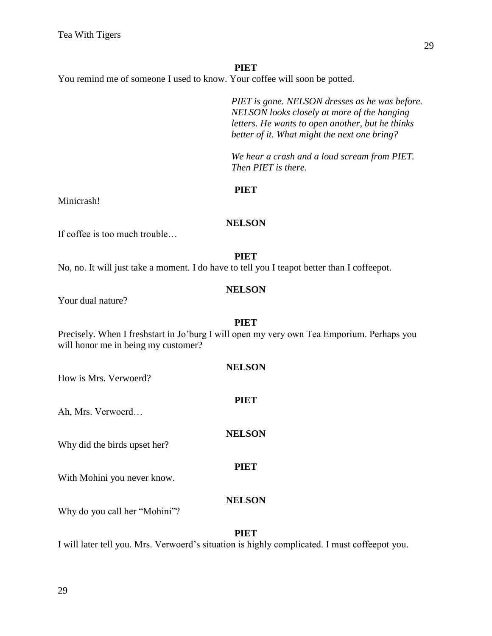You remind me of someone I used to know. Your coffee will soon be potted.

*PIET is gone. NELSON dresses as he was before. NELSON looks closely at more of the hanging letters. He wants to open another, but he thinks better of it. What might the next one bring?*

*We hear a crash and a loud scream from PIET. Then PIET is there.*

# **PIET**

Minicrash!

**NELSON**

If coffee is too much trouble…

#### **PIET**

No, no. It will just take a moment. I do have to tell you I teapot better than I coffeepot.

# **NELSON**

**PIET**

Your dual nature?

Precisely. When I freshstart in Jo'burg I will open my very own Tea Emporium. Perhaps you will honor me in being my customer?

**NELSON**

**PIET**

**NELSON**

How is Mrs. Verwoerd?

Ah, Mrs. Verwoerd…

Why did the birds upset her?

With Mohini you never know.

# **NELSON**

**PIET**

Why do you call her "Mohini"?

#### **PIET**

I will later tell you. Mrs. Verwoerd's situation is highly complicated. I must coffeepot you.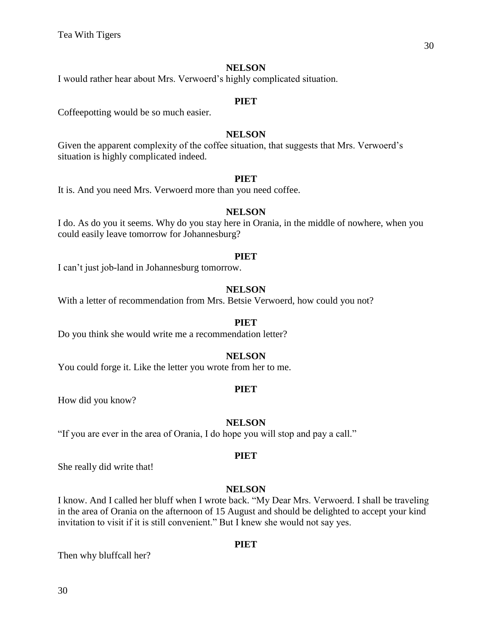I would rather hear about Mrs. Verwoerd's highly complicated situation.

#### **PIET**

Coffeepotting would be so much easier.

#### **NELSON**

Given the apparent complexity of the coffee situation, that suggests that Mrs. Verwoerd's situation is highly complicated indeed.

#### **PIET**

It is. And you need Mrs. Verwoerd more than you need coffee.

#### **NELSON**

I do. As do you it seems. Why do you stay here in Orania, in the middle of nowhere, when you could easily leave tomorrow for Johannesburg?

#### **PIET**

I can't just job-land in Johannesburg tomorrow.

#### **NELSON**

With a letter of recommendation from Mrs. Betsie Verwoerd, how could you not?

#### **PIET**

Do you think she would write me a recommendation letter?

#### **NELSON**

You could forge it. Like the letter you wrote from her to me.

#### **PIET**

How did you know?

#### **NELSON**

"If you are ever in the area of Orania, I do hope you will stop and pay a call."

#### **PIET**

She really did write that!

#### **NELSON**

I know. And I called her bluff when I wrote back. "My Dear Mrs. Verwoerd. I shall be traveling in the area of Orania on the afternoon of 15 August and should be delighted to accept your kind invitation to visit if it is still convenient." But I knew she would not say yes.

#### **PIET**

Then why bluffcall her?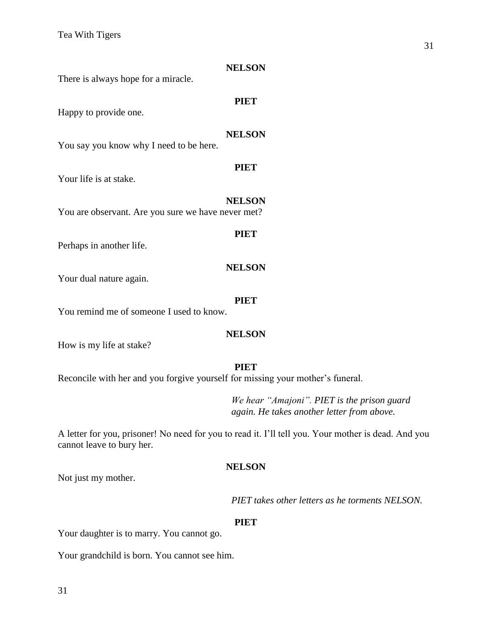| There is always hope for a miracle.                | <b>NELSON</b> |
|----------------------------------------------------|---------------|
| Happy to provide one.                              | <b>PIET</b>   |
| You say you know why I need to be here.            | <b>NELSON</b> |
| Your life is at stake.                             | <b>PIET</b>   |
| You are observant. Are you sure we have never met? | <b>NELSON</b> |
| Perhaps in another life.                           | <b>PIET</b>   |
| Your dual nature again.                            | <b>NELSON</b> |
| You remind me of someone I used to know.           | PIET          |

How is my life at stake?

#### **PIET**

Reconcile with her and you forgive yourself for missing your mother's funeral.

*We hear "Amajoni". PIET is the prison guard again. He takes another letter from above.*

A letter for you, prisoner! No need for you to read it. I'll tell you. Your mother is dead. And you cannot leave to bury her.

#### **NELSON**

Not just my mother.

*PIET takes other letters as he torments NELSON.*

# **PIET**

Your daughter is to marry. You cannot go.

Your grandchild is born. You cannot see him.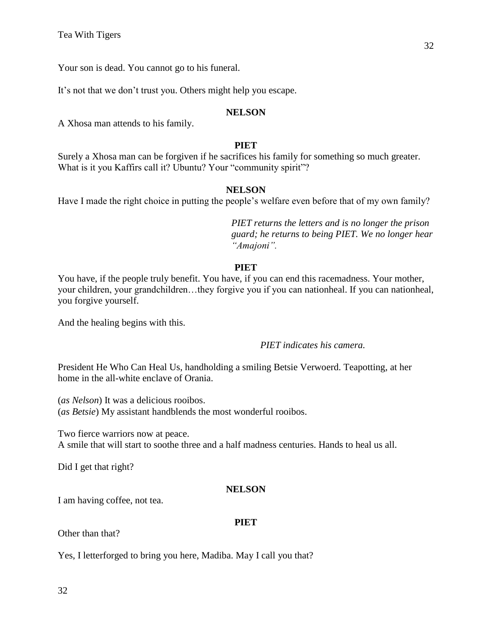Your son is dead. You cannot go to his funeral.

It's not that we don't trust you. Others might help you escape.

# **NELSON**

A Xhosa man attends to his family.

# **PIET**

Surely a Xhosa man can be forgiven if he sacrifices his family for something so much greater. What is it you Kaffirs call it? Ubuntu? Your "community spirit"?

# **NELSON**

Have I made the right choice in putting the people's welfare even before that of my own family?

*PIET returns the letters and is no longer the prison guard; he returns to being PIET. We no longer hear "Amajoni".*

# **PIET**

You have, if the people truly benefit. You have, if you can end this racemadness. Your mother, your children, your grandchildren…they forgive you if you can nationheal. If you can nationheal, you forgive yourself.

And the healing begins with this.

*PIET indicates his camera.*

President He Who Can Heal Us, handholding a smiling Betsie Verwoerd. Teapotting, at her home in the all-white enclave of Orania.

(*as Nelson*) It was a delicious rooibos.

(*as Betsie*) My assistant handblends the most wonderful rooibos.

Two fierce warriors now at peace.

A smile that will start to soothe three and a half madness centuries. Hands to heal us all.

Did I get that right?

# **NELSON**

I am having coffee, not tea.

# **PIET**

Other than that?

Yes, I letterforged to bring you here, Madiba. May I call you that?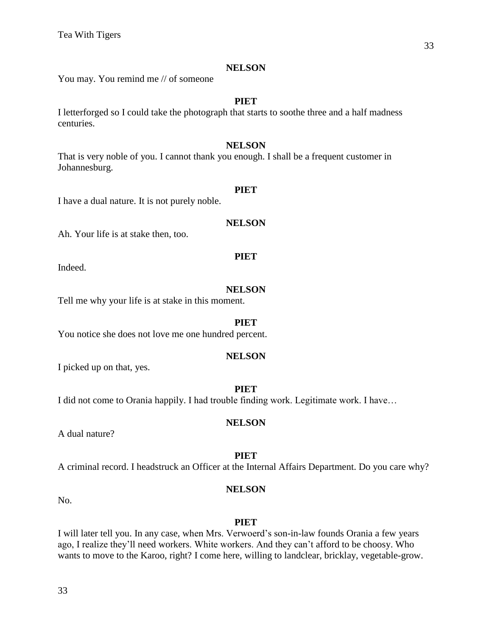You may. You remind me // of someone

#### **PIET**

I letterforged so I could take the photograph that starts to soothe three and a half madness centuries.

# **NELSON**

That is very noble of you. I cannot thank you enough. I shall be a frequent customer in Johannesburg.

#### **PIET**

I have a dual nature. It is not purely noble.

#### **NELSON**

**PIET**

Ah. Your life is at stake then, too.

Indeed.

# **NELSON**

Tell me why your life is at stake in this moment.

#### **PIET**

You notice she does not love me one hundred percent.

# **NELSON**

I picked up on that, yes.

# **PIET**

I did not come to Orania happily. I had trouble finding work. Legitimate work. I have…

#### **NELSON**

A dual nature?

# **PIET**

A criminal record. I headstruck an Officer at the Internal Affairs Department. Do you care why?

# **NELSON**

No.

#### **PIET**

I will later tell you. In any case, when Mrs. Verwoerd's son-in-law founds Orania a few years ago, I realize they'll need workers. White workers. And they can't afford to be choosy. Who wants to move to the Karoo, right? I come here, willing to landclear, bricklay, vegetable-grow.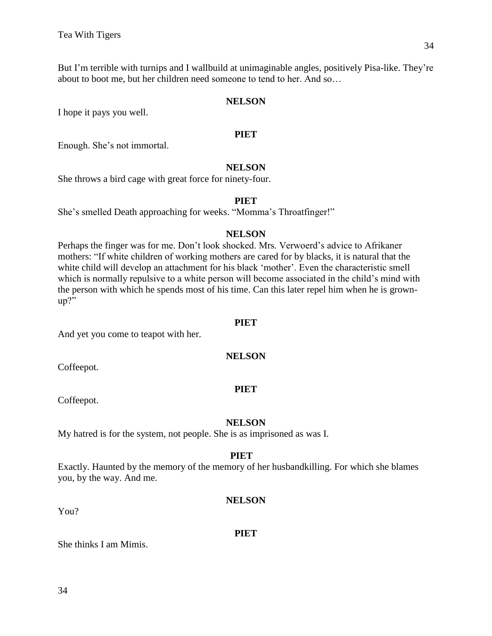But I'm terrible with turnips and I wallbuild at unimaginable angles, positively Pisa-like. They're about to boot me, but her children need someone to tend to her. And so…

#### **NELSON**

I hope it pays you well.

#### **PIET**

Enough. She's not immortal.

#### **NELSON**

She throws a bird cage with great force for ninety-four.

#### **PIET**

She's smelled Death approaching for weeks. "Momma's Throatfinger!"

#### **NELSON**

Perhaps the finger was for me. Don't look shocked. Mrs. Verwoerd's advice to Afrikaner mothers: "If white children of working mothers are cared for by blacks, it is natural that the white child will develop an attachment for his black 'mother'. Even the characteristic smell which is normally repulsive to a white person will become associated in the child's mind with the person with which he spends most of his time. Can this later repel him when he is grownup?"

#### **PIET**

And yet you come to teapot with her.

#### **NELSON**

Coffeepot.

#### **PIET**

Coffeepot.

# **NELSON**

My hatred is for the system, not people. She is as imprisoned as was I.

#### **PIET**

Exactly. Haunted by the memory of the memory of her husbandkilling. For which she blames you, by the way. And me.

**PIET**

**NELSON**

She thinks I am Mimis.

You?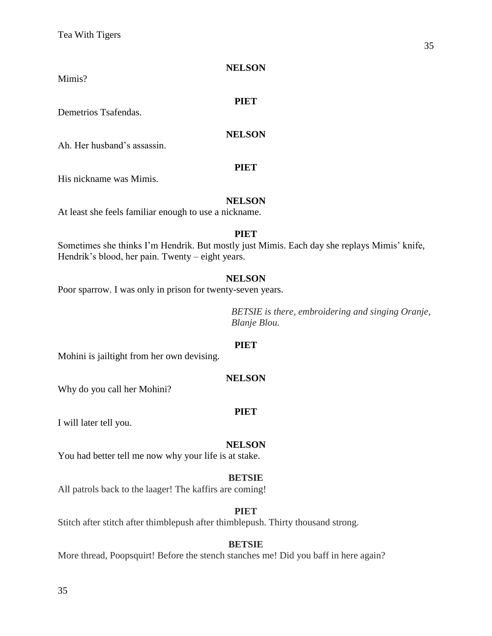Mimis?

Demetrios Tsafendas.

# **NELSON**

**PIET**

Ah. Her husband's assassin.

#### **PIET**

His nickname was Mimis.

# **NELSON**

At least she feels familiar enough to use a nickname.

# **PIET**

Sometimes she thinks I'm Hendrik. But mostly just Mimis. Each day she replays Mimis' knife, Hendrik's blood, her pain. Twenty – eight years.

# **NELSON**

Poor sparrow. I was only in prison for twenty-seven years.

*BETSIE is there, embroidering and singing Oranje, Blanje Blou.* 

# **PIET**

Mohini is jailtight from her own devising.

# **NELSON**

Why do you call her Mohini?

# **PIET**

I will later tell you.

# **NELSON**

You had better tell me now why your life is at stake.

# **BETSIE**

All patrols back to the laager! The kaffirs are coming!

# **PIET**

Stitch after stitch after thimblepush after thimblepush. Thirty thousand strong.

# **BETSIE**

More thread, Poopsquirt! Before the stench stanches me! Did you baff in here again?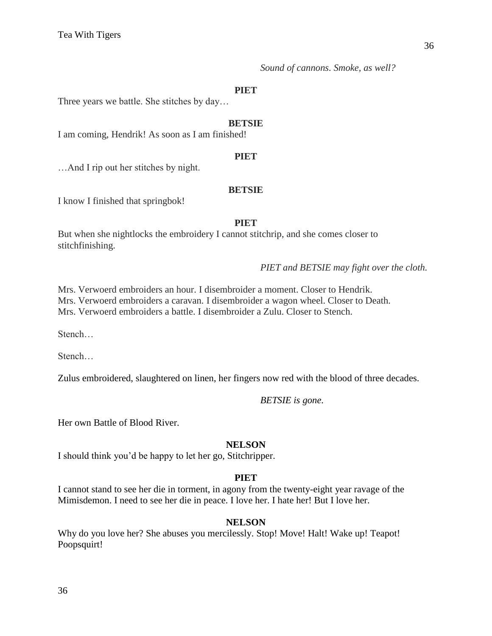Three years we battle. She stitches by day…

#### **BETSIE**

I am coming, Hendrik! As soon as I am finished!

# **PIET**

…And I rip out her stitches by night.

#### **BETSIE**

I know I finished that springbok!

#### **PIET**

But when she nightlocks the embroidery I cannot stitchrip, and she comes closer to stitchfinishing.

*PIET and BETSIE may fight over the cloth.*

Mrs. Verwoerd embroiders an hour. I disembroider a moment. Closer to Hendrik. Mrs. Verwoerd embroiders a caravan. I disembroider a wagon wheel. Closer to Death. Mrs. Verwoerd embroiders a battle. I disembroider a Zulu. Closer to Stench.

Stench…

Stench…

Zulus embroidered, slaughtered on linen, her fingers now red with the blood of three decades.

*BETSIE is gone.*

Her own Battle of Blood River.

#### **NELSON**

I should think you'd be happy to let her go, Stitchripper.

# **PIET**

I cannot stand to see her die in torment, in agony from the twenty-eight year ravage of the Mimisdemon. I need to see her die in peace. I love her. I hate her! But I love her.

# **NELSON**

Why do you love her? She abuses you mercilessly. Stop! Move! Halt! Wake up! Teapot! Poopsquirt!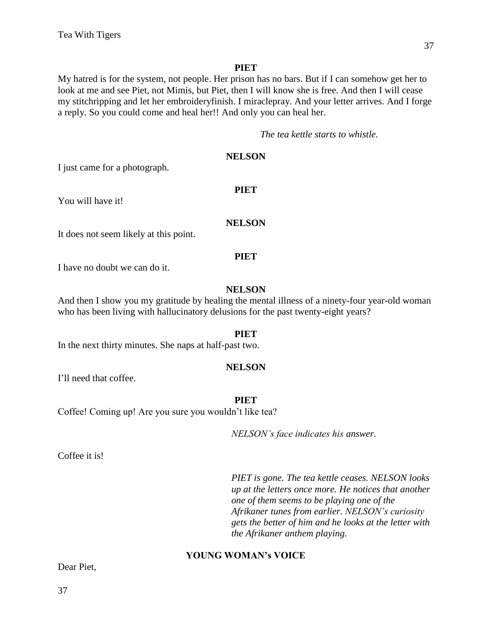My hatred is for the system, not people. Her prison has no bars. But if I can somehow get her to look at me and see Piet, not Mimis, but Piet, then I will know she is free. And then I will cease my stitchripping and let her embroideryfinish. I miraclepray. And your letter arrives. And I forge a reply. So you could come and heal her!! And only you can heal her.

*The tea kettle starts to whistle.*

# **NELSON**

I just came for a photograph.

You will have it!

# **NELSON**

**PIET**

It does not seem likely at this point.

#### **PIET**

I have no doubt we can do it.

# **NELSON**

And then I show you my gratitude by healing the mental illness of a ninety-four year-old woman who has been living with hallucinatory delusions for the past twenty-eight years?

#### **PIET**

In the next thirty minutes. She naps at half-past two.

#### **NELSON**

I'll need that coffee.

**PIET**

Coffee! Coming up! Are you sure you wouldn't like tea?

*NELSON's face indicates his answer.*

Coffee it is!

*PIET is gone. The tea kettle ceases. NELSON looks up at the letters once more. He notices that another one of them seems to be playing one of the Afrikaner tunes from earlier. NELSON's curiosity gets the better of him and he looks at the letter with the Afrikaner anthem playing.*

# **YOUNG WOMAN's VOICE**

Dear Piet,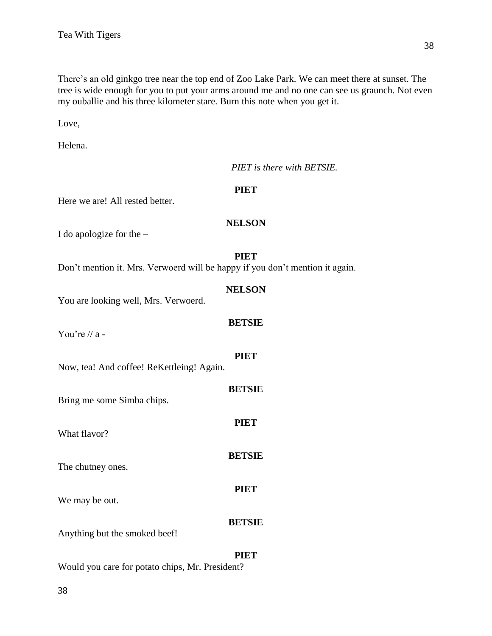There's an old ginkgo tree near the top end of Zoo Lake Park. We can meet there at sunset. The tree is wide enough for you to put your arms around me and no one can see us graunch. Not even my ouballie and his three kilometer stare. Burn this note when you get it.

Love,

Helena.

|                                                                              | PIET is there with BETSIE. |
|------------------------------------------------------------------------------|----------------------------|
| Here we are! All rested better.                                              | <b>PIET</b>                |
| I do apologize for the $-$                                                   | <b>NELSON</b>              |
| Don't mention it. Mrs. Verwoerd will be happy if you don't mention it again. | <b>PIET</b>                |
| You are looking well, Mrs. Verwoerd.                                         | <b>NELSON</b>              |
| You're // a -                                                                | <b>BETSIE</b>              |
| Now, tea! And coffee! ReKettleing! Again.                                    | <b>PIET</b>                |
| Bring me some Simba chips.                                                   | <b>BETSIE</b>              |
| What flavor?                                                                 | <b>PIET</b>                |
| The chutney ones.                                                            | <b>BETSIE</b>              |
| We may be out.                                                               | <b>PIET</b>                |
| Anything but the smoked beef!                                                | <b>BETSIE</b>              |
|                                                                              | <b>PIET</b>                |

Would you care for potato chips, Mr. President?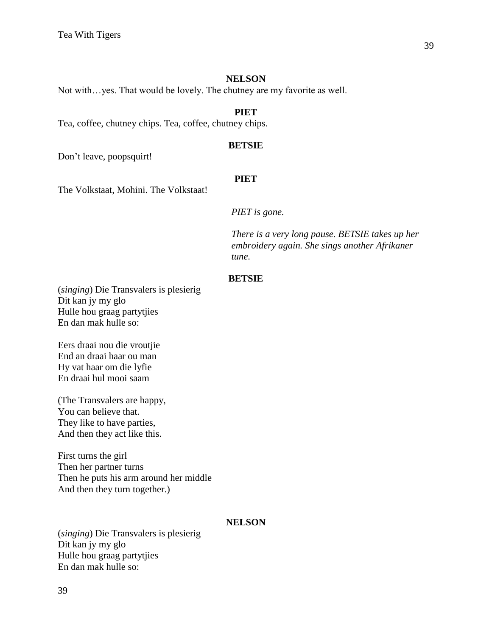Not with…yes. That would be lovely. The chutney are my favorite as well.

### **PIET**

Tea, coffee, chutney chips. Tea, coffee, chutney chips.

# **BETSIE**

Don't leave, poopsquirt!

#### **PIET**

The Volkstaat, Mohini. The Volkstaat!

*PIET is gone.*

*There is a very long pause. BETSIE takes up her embroidery again. She sings another Afrikaner tune.* 

# **BETSIE**

(*singing*) Die Transvalers is plesierig Dit kan jy my glo Hulle hou graag partytjies En dan mak hulle so:

Eers draai nou die vroutjie End an draai haar ou man Hy vat haar om die lyfie En draai hul mooi saam

(The Transvalers are happy, You can believe that. They like to have parties, And then they act like this.

First turns the girl Then her partner turns Then he puts his arm around her middle And then they turn together.)

#### **NELSON**

(*singing*) Die Transvalers is plesierig Dit kan jy my glo Hulle hou graag partytjies En dan mak hulle so: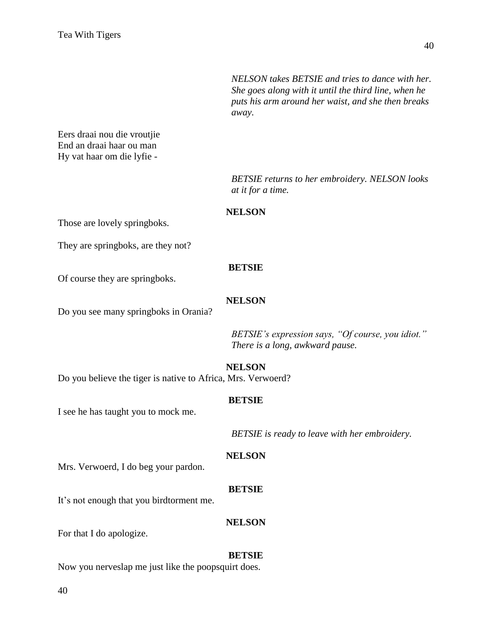*NELSON takes BETSIE and tries to dance with her. She goes along with it until the third line, when he puts his arm around her waist, and she then breaks away.*

Eers draai nou die vroutjie End an draai haar ou man Hy vat haar om die lyfie -

> *BETSIE returns to her embroidery. NELSON looks at it for a time.*

#### **NELSON**

Those are lovely springboks.

They are springboks, are they not?

#### **BETSIE**

Of course they are springboks.

# **NELSON**

Do you see many springboks in Orania?

*BETSIE's expression says, "Of course, you idiot." There is a long, awkward pause.*

**NELSON**

Do you believe the tiger is native to Africa, Mrs. Verwoerd?

# **BETSIE**

I see he has taught you to mock me.

*BETSIE is ready to leave with her embroidery.*

#### **NELSON**

Mrs. Verwoerd, I do beg your pardon.

# **BETSIE**

It's not enough that you birdtorment me.

#### **NELSON**

For that I do apologize.

# **BETSIE**

Now you nerveslap me just like the poopsquirt does.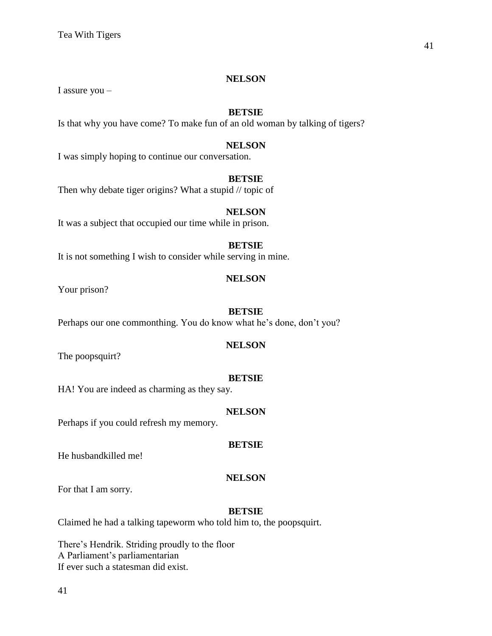I assure you –

# **BETSIE**

Is that why you have come? To make fun of an old woman by talking of tigers?

# **NELSON**

I was simply hoping to continue our conversation.

# **BETSIE**

Then why debate tiger origins? What a stupid // topic of

# **NELSON**

It was a subject that occupied our time while in prison.

# **BETSIE**

It is not something I wish to consider while serving in mine.

# **NELSON**

Your prison?

# **BETSIE**

Perhaps our one commonthing. You do know what he's done, don't you?

# **NELSON**

The poopsquirt?

# **BETSIE**

HA! You are indeed as charming as they say.

# **NELSON**

Perhaps if you could refresh my memory.

# **BETSIE**

He husbandkilled me!

# **NELSON**

For that I am sorry.

# **BETSIE**

Claimed he had a talking tapeworm who told him to, the poopsquirt.

There's Hendrik. Striding proudly to the floor A Parliament's parliamentarian If ever such a statesman did exist.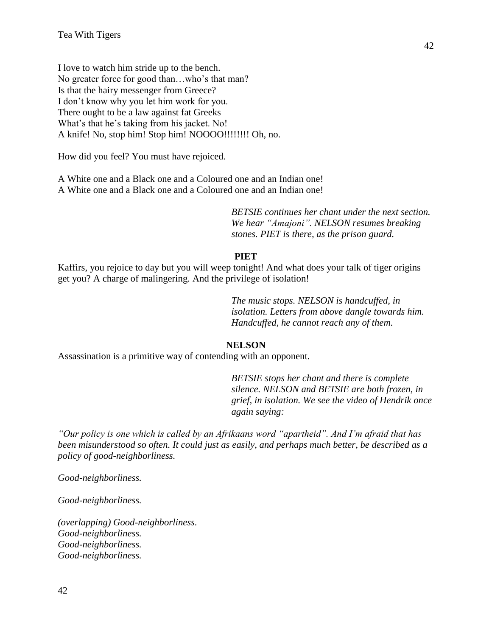I love to watch him stride up to the bench. No greater force for good than…who's that man? Is that the hairy messenger from Greece? I don't know why you let him work for you. There ought to be a law against fat Greeks What's that he's taking from his jacket. No! A knife! No, stop him! Stop him! NOOOO!!!!!!!! Oh, no.

How did you feel? You must have rejoiced.

A White one and a Black one and a Coloured one and an Indian one! A White one and a Black one and a Coloured one and an Indian one!

> *BETSIE continues her chant under the next section. We hear "Amajoni". NELSON resumes breaking stones. PIET is there, as the prison guard.*

#### **PIET**

Kaffirs, you rejoice to day but you will weep tonight! And what does your talk of tiger origins get you? A charge of malingering. And the privilege of isolation!

> *The music stops. NELSON is handcuffed, in isolation. Letters from above dangle towards him. Handcuffed, he cannot reach any of them.*

# **NELSON**

Assassination is a primitive way of contending with an opponent.

*BETSIE stops her chant and there is complete silence. NELSON and BETSIE are both frozen, in grief, in isolation. We see the video of Hendrik once again saying:*

*"Our policy is one which is called by an Afrikaans word "apartheid". And I'm afraid that has been misunderstood so often. It could just as easily, and perhaps much better, be described as a policy of good-neighborliness.*

*Good-neighborliness.*

*Good-neighborliness.*

*(overlapping) Good-neighborliness. Good-neighborliness. Good-neighborliness. Good-neighborliness.*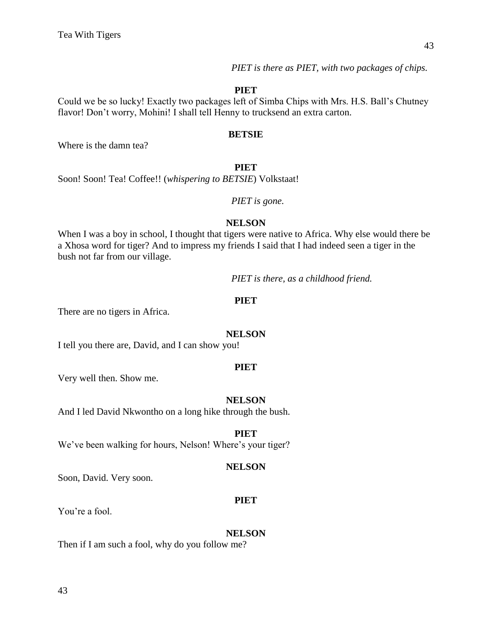*PIET is there as PIET, with two packages of chips.*

#### **PIET**

Could we be so lucky! Exactly two packages left of Simba Chips with Mrs. H.S. Ball's Chutney flavor! Don't worry, Mohini! I shall tell Henny to trucksend an extra carton.

#### **BETSIE**

Where is the damn tea?

#### **PIET**

Soon! Soon! Tea! Coffee!! (*whispering to BETSIE*) Volkstaat!

# *PIET is gone.*

#### **NELSON**

When I was a boy in school, I thought that tigers were native to Africa. Why else would there be a Xhosa word for tiger? And to impress my friends I said that I had indeed seen a tiger in the bush not far from our village.

*PIET is there, as a childhood friend.*

#### **PIET**

There are no tigers in Africa.

#### **NELSON**

I tell you there are, David, and I can show you!

#### **PIET**

Very well then. Show me.

#### **NELSON**

And I led David Nkwontho on a long hike through the bush.

#### **PIET**

We've been walking for hours, Nelson! Where's your tiger?

#### **NELSON**

Soon, David. Very soon.

#### **PIET**

You're a fool.

#### **NELSON**

Then if I am such a fool, why do you follow me?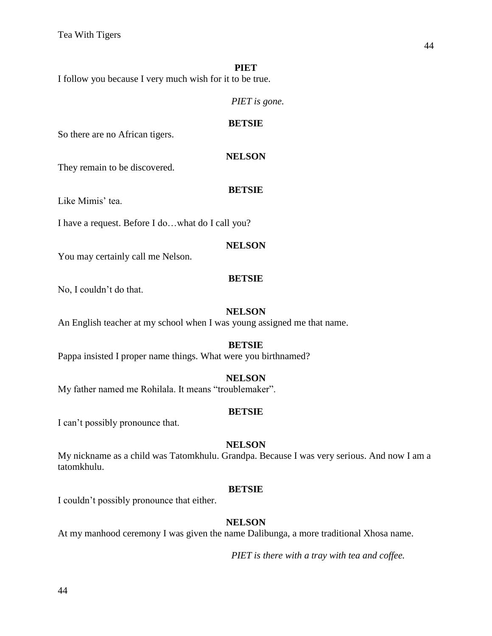I follow you because I very much wish for it to be true.

*PIET is gone.*

#### **BETSIE**

So there are no African tigers.

# **NELSON**

They remain to be discovered.

# **BETSIE**

Like Mimis' tea.

I have a request. Before I do…what do I call you?

# **NELSON**

You may certainly call me Nelson.

# **BETSIE**

No, I couldn't do that.

# **NELSON**

An English teacher at my school when I was young assigned me that name.

# **BETSIE**

Pappa insisted I proper name things. What were you birthnamed?

# **NELSON**

My father named me Rohilala. It means "troublemaker".

# **BETSIE**

I can't possibly pronounce that.

# **NELSON**

My nickname as a child was Tatomkhulu. Grandpa. Because I was very serious. And now I am a tatomkhulu.

# **BETSIE**

I couldn't possibly pronounce that either.

# **NELSON**

At my manhood ceremony I was given the name Dalibunga, a more traditional Xhosa name.

*PIET is there with a tray with tea and coffee.*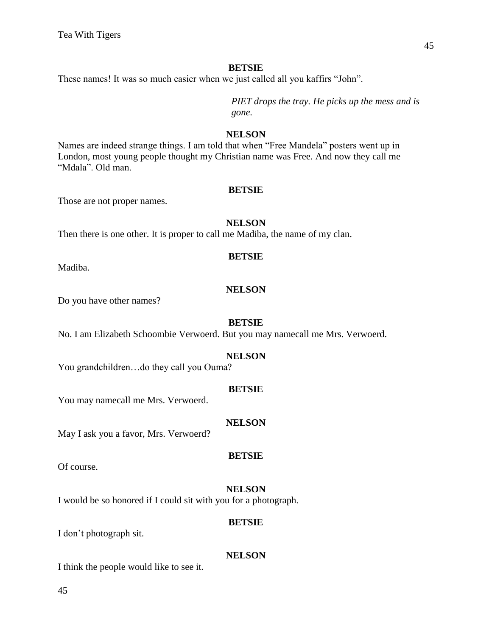These names! It was so much easier when we just called all you kaffirs "John".

*PIET drops the tray. He picks up the mess and is gone.*

#### **NELSON**

Names are indeed strange things. I am told that when "Free Mandela" posters went up in London, most young people thought my Christian name was Free. And now they call me "Mdala". Old man.

#### **BETSIE**

Those are not proper names.

#### **NELSON**

Then there is one other. It is proper to call me Madiba, the name of my clan.

# **BETSIE**

Madiba.

# **NELSON**

Do you have other names?

# **BETSIE**

No. I am Elizabeth Schoombie Verwoerd. But you may namecall me Mrs. Verwoerd.

# **NELSON**

You grandchildren…do they call you Ouma?

#### **BETSIE**

You may namecall me Mrs. Verwoerd.

# **NELSON**

May I ask you a favor, Mrs. Verwoerd?

#### **BETSIE**

Of course.

# **NELSON**

I would be so honored if I could sit with you for a photograph.

#### **BETSIE**

I don't photograph sit.

# **NELSON**

I think the people would like to see it.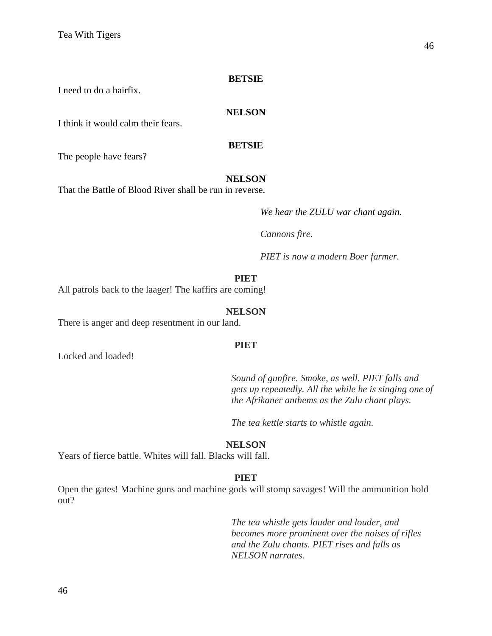I need to do a hairfix.

#### **NELSON**

I think it would calm their fears.

#### **BETSIE**

The people have fears?

#### **NELSON**

That the Battle of Blood River shall be run in reverse.

*We hear the ZULU war chant again.* 

*Cannons fire.*

*PIET is now a modern Boer farmer.*

# **PIET**

All patrols back to the laager! The kaffirs are coming!

#### **NELSON**

There is anger and deep resentment in our land.

#### **PIET**

Locked and loaded!

*Sound of gunfire. Smoke, as well. PIET falls and gets up repeatedly. All the while he is singing one of the Afrikaner anthems as the Zulu chant plays.*

*The tea kettle starts to whistle again.*

#### **NELSON**

Years of fierce battle. Whites will fall. Blacks will fall.

#### **PIET**

Open the gates! Machine guns and machine gods will stomp savages! Will the ammunition hold out?

> *The tea whistle gets louder and louder, and becomes more prominent over the noises of rifles and the Zulu chants. PIET rises and falls as NELSON narrates.*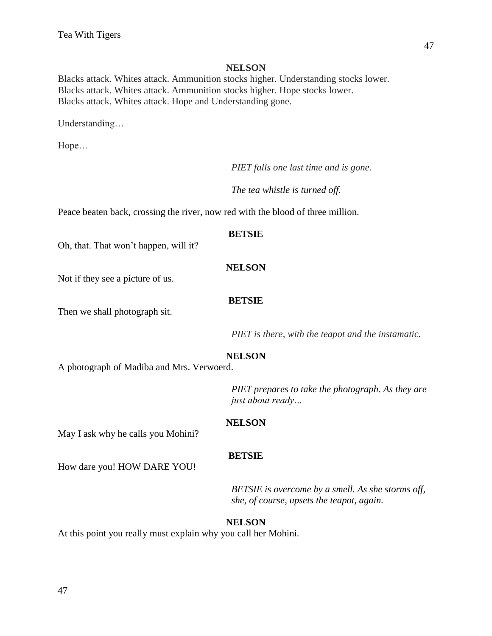Blacks attack. Whites attack. Ammunition stocks higher. Understanding stocks lower. Blacks attack. Whites attack. Ammunition stocks higher. Hope stocks lower. Blacks attack. Whites attack. Hope and Understanding gone.

Understanding…

Hope…

*PIET falls one last time and is gone.*

*The tea whistle is turned off.*

Peace beaten back, crossing the river, now red with the blood of three million.

#### **BETSIE**

Oh, that. That won't happen, will it?

#### **NELSON**

Not if they see a picture of us.

#### **BETSIE**

Then we shall photograph sit.

*PIET is there, with the teapot and the instamatic.*

#### **NELSON**

A photograph of Madiba and Mrs. Verwoerd.

*PIET prepares to take the photograph. As they are just about ready…*

#### **NELSON**

May I ask why he calls you Mohini?

#### **BETSIE**

How dare you! HOW DARE YOU!

*BETSIE is overcome by a smell. As she storms off, she, of course, upsets the teapot, again.*

#### **NELSON**

At this point you really must explain why you call her Mohini.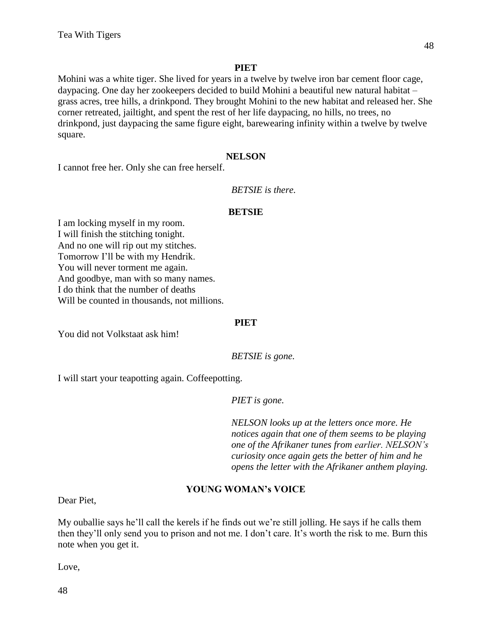Mohini was a white tiger. She lived for years in a twelve by twelve iron bar cement floor cage, daypacing. One day her zookeepers decided to build Mohini a beautiful new natural habitat – grass acres, tree hills, a drinkpond. They brought Mohini to the new habitat and released her. She corner retreated, jailtight, and spent the rest of her life daypacing, no hills, no trees, no drinkpond, just daypacing the same figure eight, barewearing infinity within a twelve by twelve square.

#### **NELSON**

I cannot free her. Only she can free herself.

# *BETSIE is there.*

#### **BETSIE**

I am locking myself in my room. I will finish the stitching tonight. And no one will rip out my stitches. Tomorrow I'll be with my Hendrik. You will never torment me again. And goodbye, man with so many names. I do think that the number of deaths Will be counted in thousands, not millions.

# **PIET**

You did not Volkstaat ask him!

*BETSIE is gone.*

I will start your teapotting again. Coffeepotting.

*PIET is gone.*

*NELSON looks up at the letters once more. He notices again that one of them seems to be playing one of the Afrikaner tunes from earlier. NELSON's curiosity once again gets the better of him and he opens the letter with the Afrikaner anthem playing.*

# **YOUNG WOMAN's VOICE**

Dear Piet,

My ouballie says he'll call the kerels if he finds out we're still jolling. He says if he calls them then they'll only send you to prison and not me. I don't care. It's worth the risk to me. Burn this note when you get it.

Love,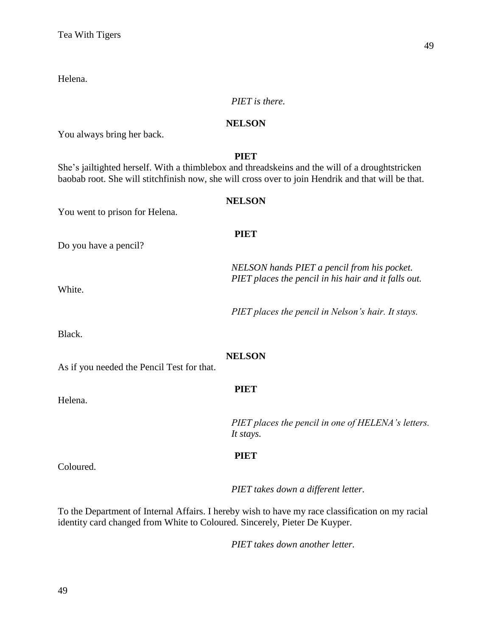Helena.

# *PIET is there.*

# **NELSON**

You always bring her back.

# **PIET**

She's jailtighted herself. With a thimblebox and threadskeins and the will of a droughtstricken baobab root. She will stitchfinish now, she will cross over to join Hendrik and that will be that.

#### **NELSON**

**PIET**

You went to prison for Helena.

Do you have a pencil?

*NELSON hands PIET a pencil from his pocket. PIET places the pencil in his hair and it falls out.*

White.

*PIET places the pencil in Nelson's hair. It stays.*

Black.

# **NELSON**

As if you needed the Pencil Test for that.

Helena.

# **PIET**

*PIET places the pencil in one of HELENA's letters. It stays.*

# **PIET**

Coloured.

*PIET takes down a different letter.*

To the Department of Internal Affairs. I hereby wish to have my race classification on my racial identity card changed from White to Coloured. Sincerely, Pieter De Kuyper.

*PIET takes down another letter.*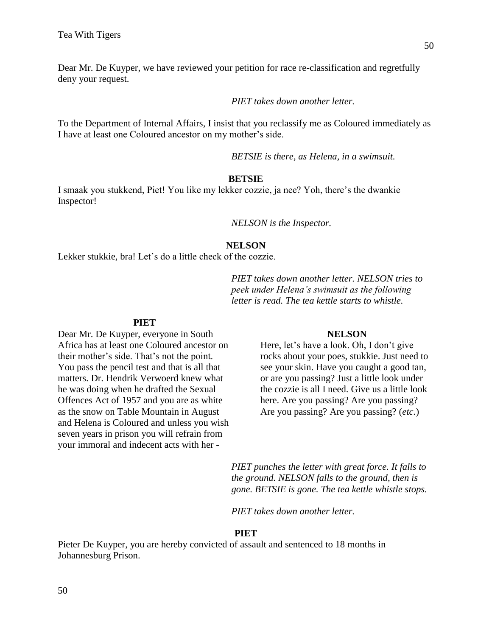Dear Mr. De Kuyper, we have reviewed your petition for race re-classification and regretfully deny your request.

*PIET takes down another letter.*

To the Department of Internal Affairs, I insist that you reclassify me as Coloured immediately as I have at least one Coloured ancestor on my mother's side.

*BETSIE is there, as Helena, in a swimsuit.*

#### **BETSIE**

I smaak you stukkend, Piet! You like my lekker cozzie, ja nee? Yoh, there's the dwankie Inspector!

*NELSON is the Inspector.*

#### **NELSON**

Lekker stukkie, bra! Let's do a little check of the cozzie.

*PIET takes down another letter. NELSON tries to peek under Helena's swimsuit as the following letter is read. The tea kettle starts to whistle.*

#### **PIET**

Dear Mr. De Kuyper, everyone in South Africa has at least one Coloured ancestor on their mother's side. That's not the point. You pass the pencil test and that is all that matters. Dr. Hendrik Verwoerd knew what he was doing when he drafted the Sexual Offences Act of 1957 and you are as white as the snow on Table Mountain in August and Helena is Coloured and unless you wish seven years in prison you will refrain from your immoral and indecent acts with her -

#### **NELSON**

Here, let's have a look. Oh, I don't give rocks about your poes, stukkie. Just need to see your skin. Have you caught a good tan, or are you passing? Just a little look under the cozzie is all I need. Give us a little look here. Are you passing? Are you passing? Are you passing? Are you passing? (*etc.*)

*PIET punches the letter with great force. It falls to the ground. NELSON falls to the ground, then is gone. BETSIE is gone. The tea kettle whistle stops.*

*PIET takes down another letter.*

#### **PIET**

Pieter De Kuyper, you are hereby convicted of assault and sentenced to 18 months in Johannesburg Prison.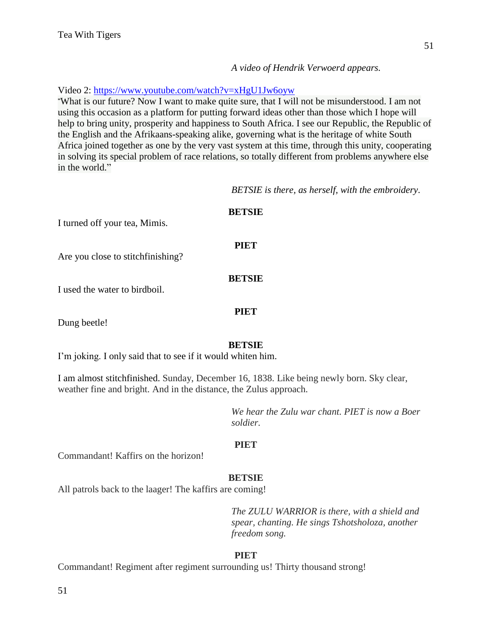*A video of Hendrik Verwoerd appears.*

# Video 2:<https://www.youtube.com/watch?v=xHgU1Jw6oyw>

"What is our future? Now I want to make quite sure, that I will not be misunderstood. I am not using this occasion as a platform for putting forward ideas other than those which I hope will help to bring unity, prosperity and happiness to South Africa. I see our Republic, the Republic of the English and the Afrikaans-speaking alike, governing what is the heritage of white South Africa joined together as one by the very vast system at this time, through this unity, cooperating in solving its special problem of race relations, so totally different from problems anywhere else in the world."

*BETSIE is there, as herself, with the embroidery.*

| I turned off your tea, Mimis.     | <b>BETSIE</b> |  |
|-----------------------------------|---------------|--|
| Are you close to stitchfinishing? | <b>PIET</b>   |  |
| I used the water to birdboil.     | <b>BETSIE</b> |  |
| Dung beetle!                      | <b>PIET</b>   |  |

# **BETSIE**

I'm joking. I only said that to see if it would whiten him.

I am almost stitchfinished. Sunday, December 16, 1838. Like being newly born. Sky clear, weather fine and bright. And in the distance, the Zulus approach.

> *We hear the Zulu war chant. PIET is now a Boer soldier.*

# **PIET**

Commandant! Kaffirs on the horizon!

# **BETSIE**

All patrols back to the laager! The kaffirs are coming!

*The ZULU WARRIOR is there, with a shield and spear, chanting. He sings Tshotsholoza, another freedom song.*

# **PIET**

Commandant! Regiment after regiment surrounding us! Thirty thousand strong!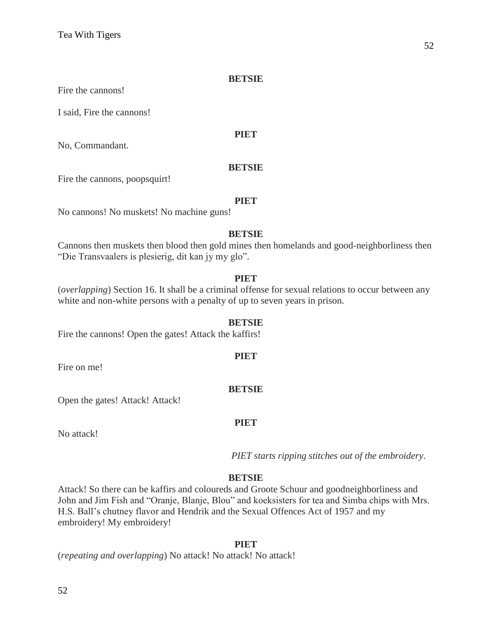Fire the cannons!

I said, Fire the cannons!

#### **PIET**

No, Commandant.

#### **BETSIE**

Fire the cannons, poopsquirt!

#### **PIET**

No cannons! No muskets! No machine guns!

#### **BETSIE**

Cannons then muskets then blood then gold mines then homelands and good-neighborliness then "Die Transvaalers is plesierig, dit kan jy my glo".

# **PIET**

(*overlapping*) Section 16. It shall be a criminal offense for sexual relations to occur between any white and non-white persons with a penalty of up to seven years in prison.

#### **BETSIE**

Fire the cannons! Open the gates! Attack the kaffirs!

Fire on me!

#### **BETSIE**

**PIET**

Open the gates! Attack! Attack!

#### **PIET**

No attack!

*PIET starts ripping stitches out of the embroidery.*

# **BETSIE**

Attack! So there can be kaffirs and coloureds and Groote Schuur and goodneighborliness and John and Jim Fish and "Oranje, Blanje, Blou" and koeksisters for tea and Simba chips with Mrs. H.S. Ball's chutney flavor and Hendrik and the Sexual Offences Act of 1957 and my embroidery! My embroidery!

# **PIET**

(*repeating and overlapping*) No attack! No attack! No attack!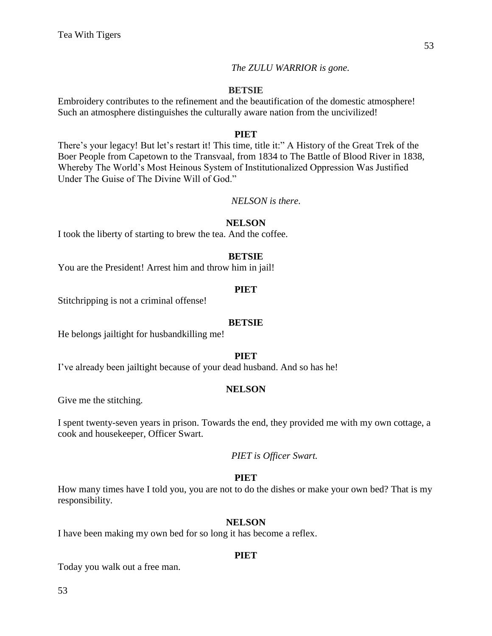*The ZULU WARRIOR is gone.*

# **BETSIE**

Embroidery contributes to the refinement and the beautification of the domestic atmosphere! Such an atmosphere distinguishes the culturally aware nation from the uncivilized!

#### **PIET**

There's your legacy! But let's restart it! This time, title it:" A History of the Great Trek of the Boer People from Capetown to the Transvaal, from 1834 to The Battle of Blood River in 1838, Whereby The World's Most Heinous System of Institutionalized Oppression Was Justified Under The Guise of The Divine Will of God."

*NELSON is there.*

# **NELSON**

I took the liberty of starting to brew the tea. And the coffee.

# **BETSIE**

You are the President! Arrest him and throw him in jail!

#### **PIET**

Stitchripping is not a criminal offense!

#### **BETSIE**

He belongs jailtight for husbandkilling me!

#### **PIET**

I've already been jailtight because of your dead husband. And so has he!

#### **NELSON**

Give me the stitching.

I spent twenty-seven years in prison. Towards the end, they provided me with my own cottage, a cook and housekeeper, Officer Swart.

*PIET is Officer Swart.*

# **PIET**

How many times have I told you, you are not to do the dishes or make your own bed? That is my responsibility.

#### **NELSON**

I have been making my own bed for so long it has become a reflex.

#### **PIET**

Today you walk out a free man.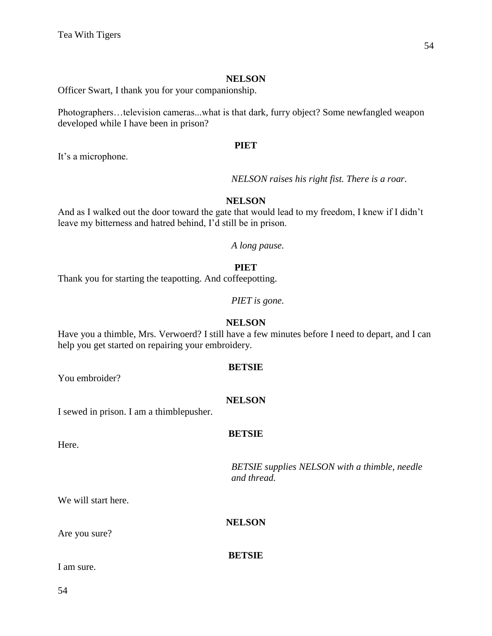Officer Swart, I thank you for your companionship.

Photographers…television cameras...what is that dark, furry object? Some newfangled weapon developed while I have been in prison?

#### **PIET**

It's a microphone.

*NELSON raises his right fist. There is a roar.*

# **NELSON**

And as I walked out the door toward the gate that would lead to my freedom, I knew if I didn't leave my bitterness and hatred behind, I'd still be in prison.

*A long pause.* 

# **PIET**

Thank you for starting the teapotting. And coffeepotting.

*PIET is gone.*

#### **NELSON**

Have you a thimble, Mrs. Verwoerd? I still have a few minutes before I need to depart, and I can help you get started on repairing your embroidery.

**BETSIE**

You embroider?

# **NELSON**

**BETSIE**

I sewed in prison. I am a thimblepusher.

Here.

*BETSIE supplies NELSON with a thimble, needle and thread.*

We will start here.

**NELSON**

**BETSIE**

Are you sure?

I am sure.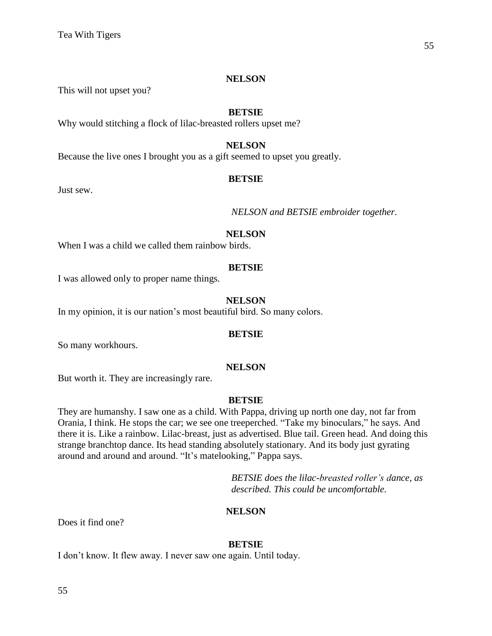This will not upset you?

#### **BETSIE**

Why would stitching a flock of lilac-breasted rollers upset me?

# **NELSON**

Because the live ones I brought you as a gift seemed to upset you greatly.

#### **BETSIE**

Just sew.

*NELSON and BETSIE embroider together.*

#### **NELSON**

When I was a child we called them rainbow birds.

#### **BETSIE**

I was allowed only to proper name things.

#### **NELSON**

In my opinion, it is our nation's most beautiful bird. So many colors.

#### **BETSIE**

So many workhours.

#### **NELSON**

But worth it. They are increasingly rare.

#### **BETSIE**

They are humanshy. I saw one as a child. With Pappa, driving up north one day, not far from Orania, I think. He stops the car; we see one treeperched. "Take my binoculars," he says. And there it is. Like a rainbow. Lilac-breast, just as advertised. Blue tail. Green head. And doing this strange branchtop dance. Its head standing absolutely stationary. And its body just gyrating around and around and around. "It's matelooking," Pappa says.

> *BETSIE does the lilac-breasted roller's dance, as described. This could be uncomfortable.*

#### **NELSON**

Does it find one?

#### **BETSIE**

I don't know. It flew away. I never saw one again. Until today.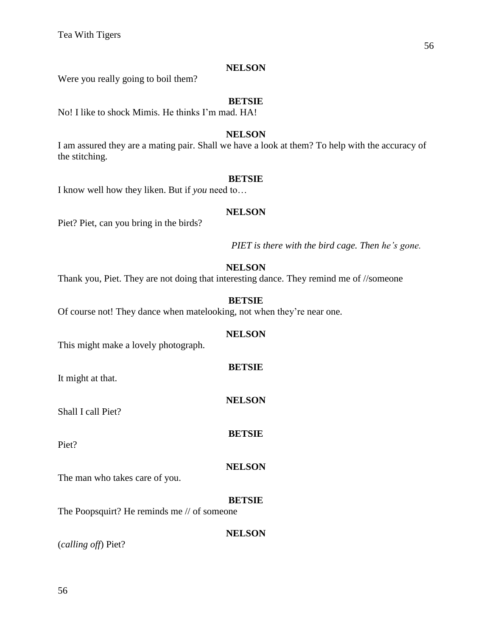Were you really going to boil them?

# **BETSIE**

No! I like to shock Mimis. He thinks I'm mad. HA!

# **NELSON**

I am assured they are a mating pair. Shall we have a look at them? To help with the accuracy of the stitching.

# **BETSIE**

I know well how they liken. But if *you* need to…

# **NELSON**

Piet? Piet, can you bring in the birds?

*PIET is there with the bird cage. Then he's gone.*

# **NELSON**

Thank you, Piet. They are not doing that interesting dance. They remind me of //someone

# **BETSIE**

Of course not! They dance when matelooking, not when they're near one.

# **NELSON**

**BETSIE**

**NELSON**

**BETSIE**

This might make a lovely photograph.

It might at that.

Shall I call Piet?

Piet?

# **NELSON**

The man who takes care of you.

# **BETSIE**

**NELSON**

The Poopsquirt? He reminds me // of someone

(*calling off*) Piet?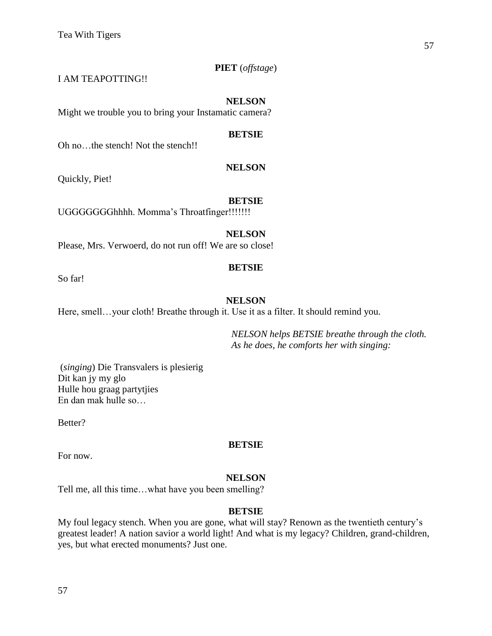# **PIET** (*offstage*)

I AM TEAPOTTING!!

#### **NELSON**

Might we trouble you to bring your Instamatic camera?

#### **BETSIE**

Oh no…the stench! Not the stench!!

#### **NELSON**

Quickly, Piet!

#### **BETSIE**

UGGGGGGGhhhh. Momma's Throatfinger!!!!!!!

#### **NELSON**

Please, Mrs. Verwoerd, do not run off! We are so close!

# **BETSIE**

So far!

# **NELSON**

Here, smell...your cloth! Breathe through it. Use it as a filter. It should remind you.

*NELSON helps BETSIE breathe through the cloth. As he does, he comforts her with singing:*

(*singing*) Die Transvalers is plesierig Dit kan jy my glo Hulle hou graag partytjies En dan mak hulle so…

Better?

# **BETSIE**

For now.

# **NELSON**

Tell me, all this time…what have you been smelling?

#### **BETSIE**

My foul legacy stench. When you are gone, what will stay? Renown as the twentieth century's greatest leader! A nation savior a world light! And what is my legacy? Children, grand-children, yes, but what erected monuments? Just one.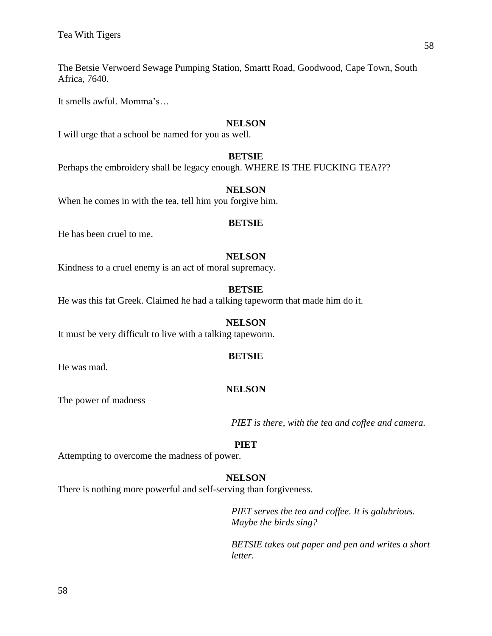The Betsie Verwoerd Sewage Pumping Station, Smartt Road, Goodwood, Cape Town, South Africa, 7640.

It smells awful. Momma's…

#### **NELSON**

I will urge that a school be named for you as well.

# **BETSIE**

Perhaps the embroidery shall be legacy enough. WHERE IS THE FUCKING TEA???

#### **NELSON**

When he comes in with the tea, tell him you forgive him.

#### **BETSIE**

He has been cruel to me.

# **NELSON**

Kindness to a cruel enemy is an act of moral supremacy.

### **BETSIE**

He was this fat Greek. Claimed he had a talking tapeworm that made him do it.

#### **NELSON**

It must be very difficult to live with a talking tapeworm.

#### **BETSIE**

He was mad.

# **NELSON**

The power of madness –

*PIET is there, with the tea and coffee and camera.*

#### **PIET**

Attempting to overcome the madness of power.

# **NELSON**

There is nothing more powerful and self-serving than forgiveness.

*PIET serves the tea and coffee. It is galubrious. Maybe the birds sing?*

*BETSIE takes out paper and pen and writes a short letter.*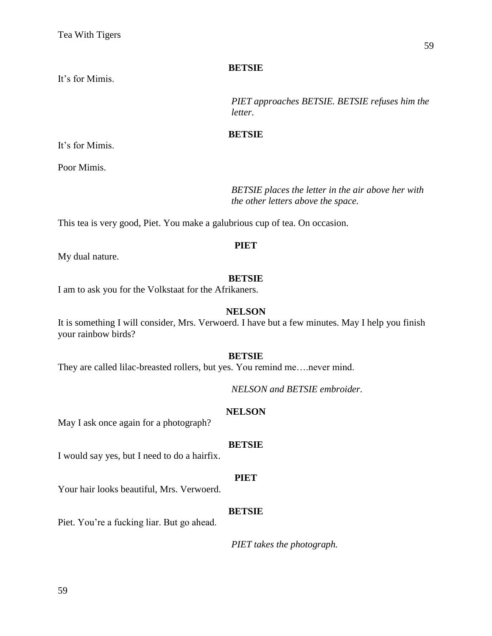It's for Mimis.

*PIET approaches BETSIE. BETSIE refuses him the letter.*

#### **BETSIE**

It's for Mimis.

Poor Mimis.

*BETSIE places the letter in the air above her with the other letters above the space.*

This tea is very good, Piet. You make a galubrious cup of tea. On occasion.

#### **PIET**

My dual nature.

#### **BETSIE**

I am to ask you for the Volkstaat for the Afrikaners.

#### **NELSON**

It is something I will consider, Mrs. Verwoerd. I have but a few minutes. May I help you finish your rainbow birds?

#### **BETSIE**

They are called lilac-breasted rollers, but yes. You remind me….never mind.

*NELSON and BETSIE embroider.*

# **NELSON**

May I ask once again for a photograph?

#### **BETSIE**

I would say yes, but I need to do a hairfix.

#### **PIET**

Your hair looks beautiful, Mrs. Verwoerd.

#### **BETSIE**

Piet. You're a fucking liar. But go ahead.

*PIET takes the photograph.*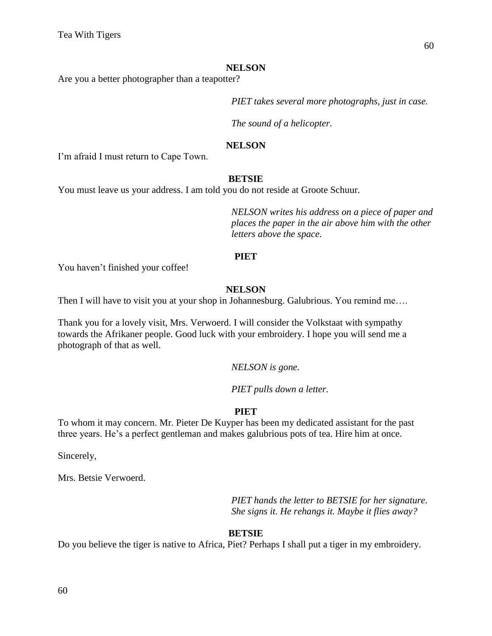Are you a better photographer than a teapotter?

*PIET takes several more photographs, just in case.* 

*The sound of a helicopter.*

#### **NELSON**

I'm afraid I must return to Cape Town.

#### **BETSIE**

You must leave us your address. I am told you do not reside at Groote Schuur.

*NELSON writes his address on a piece of paper and places the paper in the air above him with the other letters above the space.* 

#### **PIET**

You haven't finished your coffee!

# **NELSON**

Then I will have to visit you at your shop in Johannesburg. Galubrious. You remind me….

Thank you for a lovely visit, Mrs. Verwoerd. I will consider the Volkstaat with sympathy towards the Afrikaner people. Good luck with your embroidery. I hope you will send me a photograph of that as well.

*NELSON is gone.*

*PIET pulls down a letter.*

# **PIET**

To whom it may concern. Mr. Pieter De Kuyper has been my dedicated assistant for the past three years. He's a perfect gentleman and makes galubrious pots of tea. Hire him at once.

Sincerely,

Mrs. Betsie Verwoerd.

*PIET hands the letter to BETSIE for her signature. She signs it. He rehangs it. Maybe it flies away?*

# **BETSIE**

Do you believe the tiger is native to Africa, Piet? Perhaps I shall put a tiger in my embroidery.